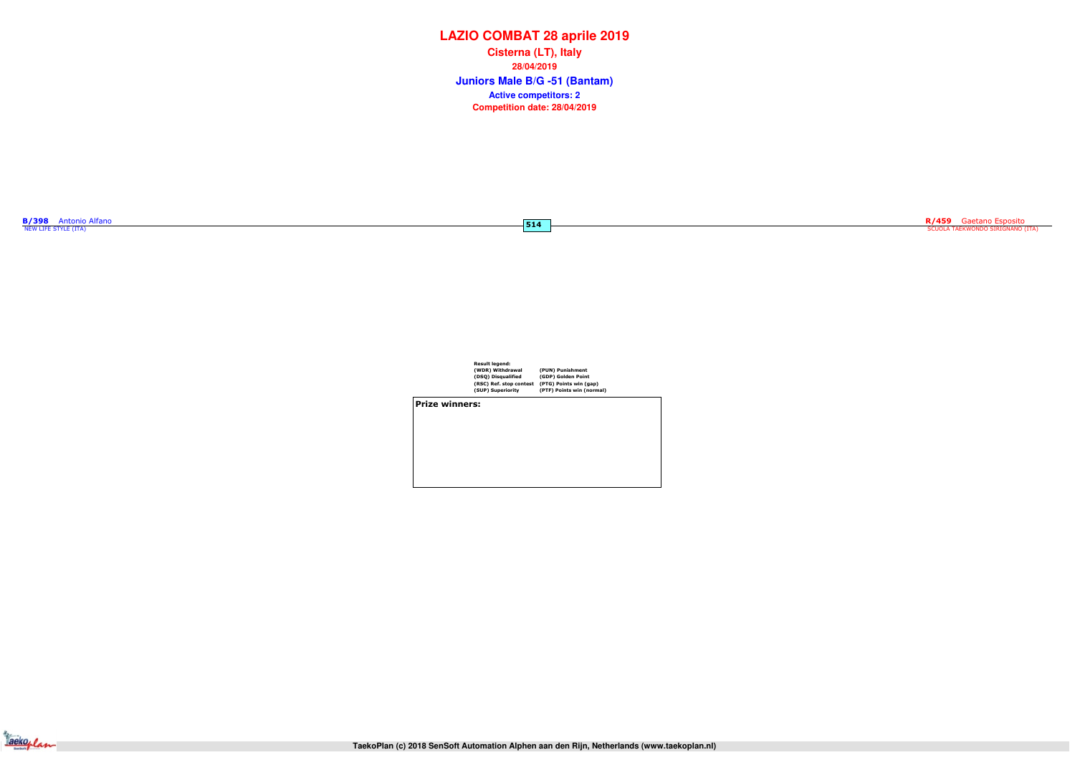514

| <b>B/398</b>         | <b>Antonio Alfano</b> |  |
|----------------------|-----------------------|--|
| NEW LIFE STYLE (ITA) |                       |  |

| <b>Result legend:</b>   |                           |
|-------------------------|---------------------------|
| (WDR) Withdrawal        | (PUN) Punishment          |
| (DSQ) Disqualified      | (GDP) Golden Point        |
| (RSC) Ref. stop contest | (PTG) Points win (gap)    |
| (SUP) Superiority       | (PTF) Points win (normal) |
|                         |                           |

Prize winners:



# **LAZIO COMBAT 28 aprile 2019**

**Juniors Male B/G -51 (Bantam) Cisterna (LT), Italy28/04/2019Competition date: 28/04/2019 Active competitors: 2**

R/459 Gaetano Esposito<br>SCUOLA TAEKWONDO SIRIGNANO (ITA)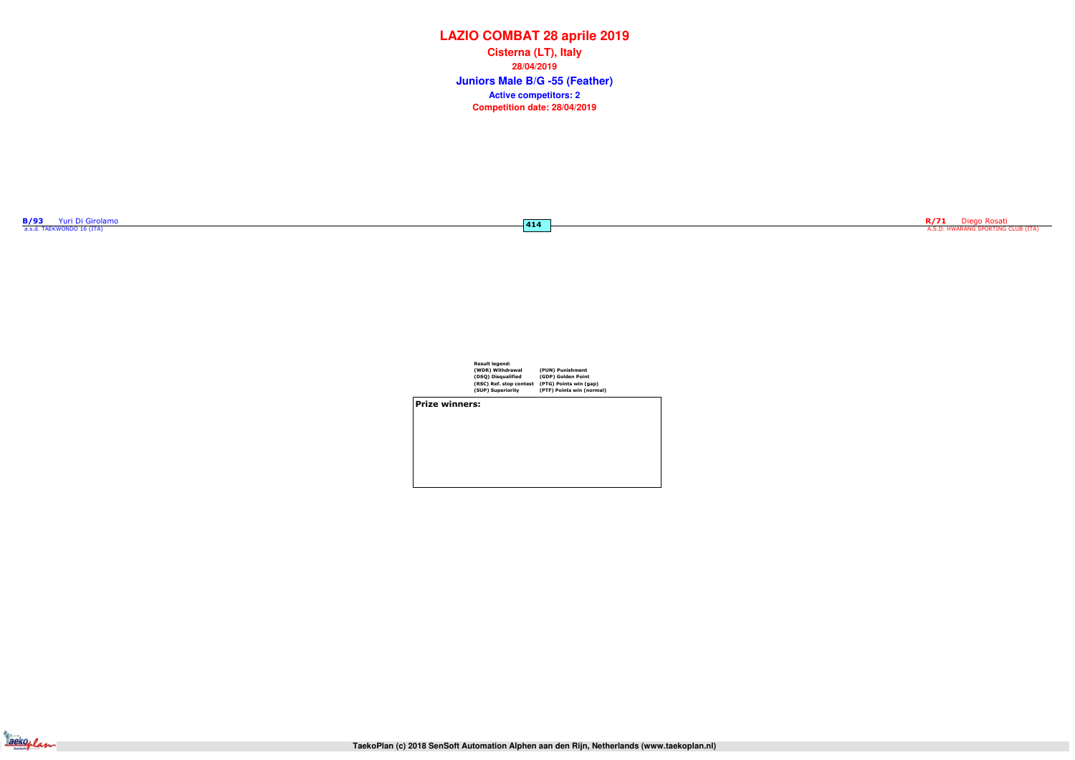| <b>B/93</b> | Yuri Di Girolamo          |  |
|-------------|---------------------------|--|
|             | a.s.d. TAEKWONDO 16 (ITA) |  |

 $\overline{414}$ 

| <b>Result legend:</b>   |                           |
|-------------------------|---------------------------|
| (WDR) Withdrawal        | (PUN) Punishment          |
| (DSQ) Disqualified      | (GDP) Golden Point        |
| (RSC) Ref. stop contest | (PTG) Points win (gap)    |
| (SUP) Superiority       | (PTF) Points win (normal) |
|                         |                           |

Prize winners:

Jackoplan

# **LAZIO COMBAT 28 aprile 2019**

**Juniors Male B/G -55 (Feather) Cisterna (LT), Italy28/04/2019Competition date: 28/04/2019 Active competitors: 2**

R/71 Diego Rosati<br>A.S.D. HWARANG SPORTING CLUB (ITA)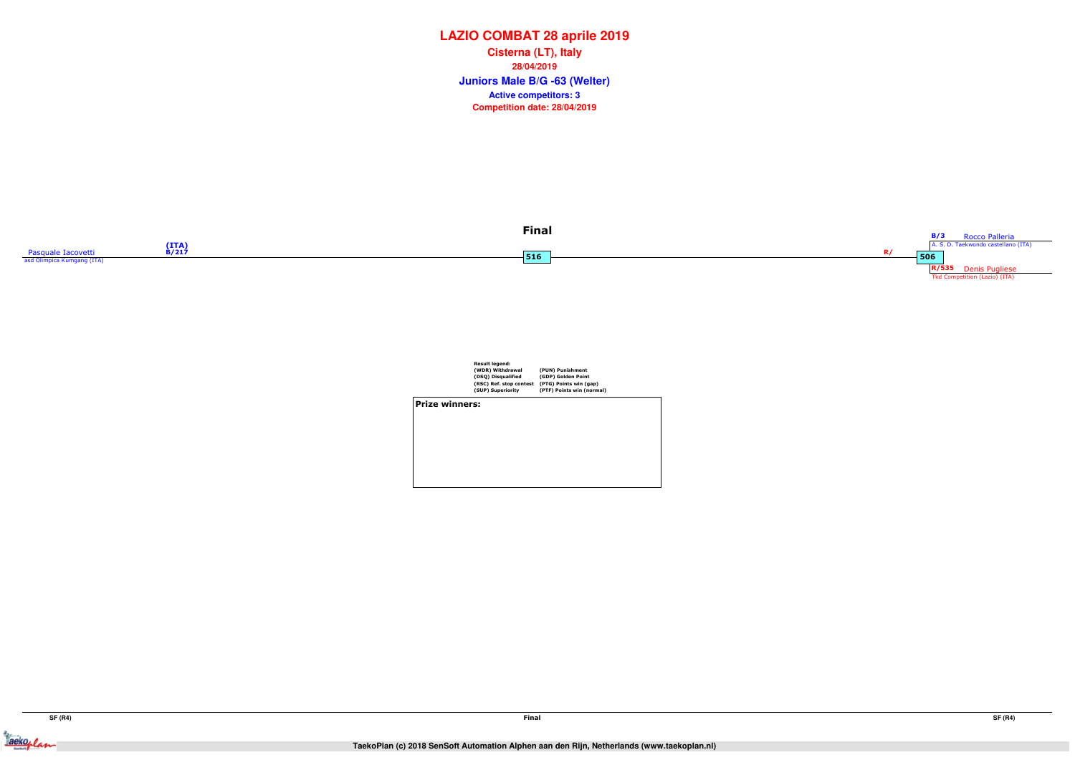



|                       | <b>Result legend:</b><br>(WDR) Withdrawal<br>(DSQ) Disqualified<br>(RSC) Ref. stop contest<br>(SUP) Superiority | (PUN) Punishment<br>(GDP) Golden Point<br>(PTG) Points win (gap)<br>(PTF) Points win (normal) |  |
|-----------------------|-----------------------------------------------------------------------------------------------------------------|-----------------------------------------------------------------------------------------------|--|
| <b>Prize winners:</b> |                                                                                                                 |                                                                                               |  |
|                       |                                                                                                                 |                                                                                               |  |

## **LAZIO COMBAT 28 aprile 2019**

**Juniors Male B/G -63 (Welter) Cisterna (LT), Italy28/04/2019Competition date: 28/04/2019 Active competitors: 3**



Jacksoplan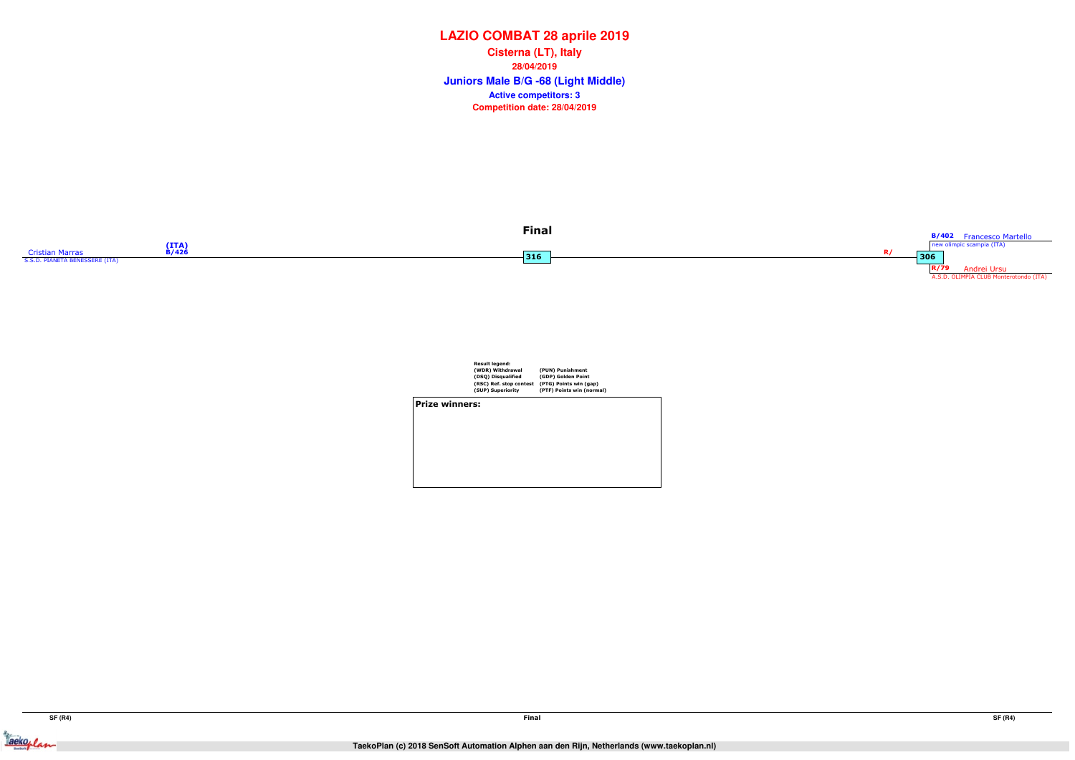Jackeplan



|                | <b>Result legend:</b><br>(WDR) Withdrawal<br>(DSQ) Disqualified | (PUN) Punishment<br>(GDP) Golden Point              |  |
|----------------|-----------------------------------------------------------------|-----------------------------------------------------|--|
|                | (RSC) Ref. stop contest<br>(SUP) Superiority                    | (PTG) Points win (gap)<br>(PTF) Points win (normal) |  |
| Prize winners: |                                                                 |                                                     |  |
|                |                                                                 |                                                     |  |
|                |                                                                 |                                                     |  |

## **LAZIO COMBAT 28 aprile 2019**

**Juniors Male B/G -68 (Light Middle) Cisterna (LT), Italy28/04/2019Competition date: 28/04/2019 Active competitors: 3**

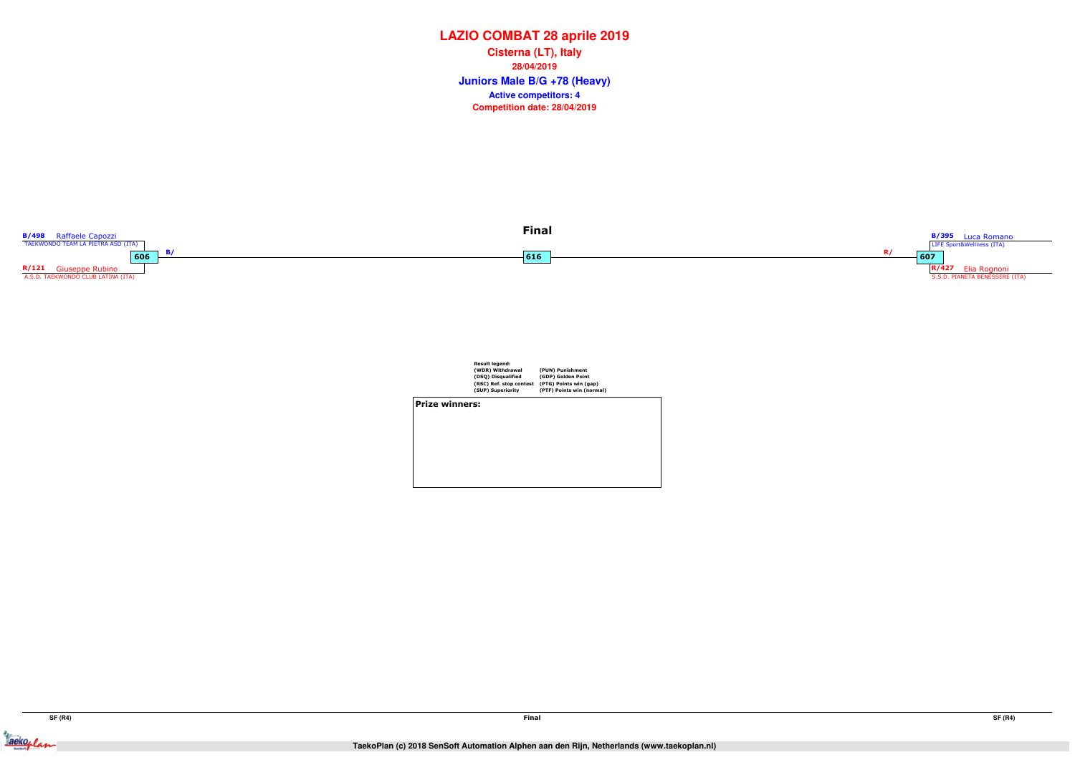

|                | <b>Result legend:</b><br>(WDR) Withdrawal<br>(DSQ) Disqualified<br>(RSC) Ref. stop contest<br>(SUP) Superiority | (PUN) Punishment<br>(GDP) Golden Point<br>(PTG) Points win (gap)<br>(PTF) Points win (normal) |  |
|----------------|-----------------------------------------------------------------------------------------------------------------|-----------------------------------------------------------------------------------------------|--|
| Prize winners: |                                                                                                                 |                                                                                               |  |
|                |                                                                                                                 |                                                                                               |  |
|                |                                                                                                                 |                                                                                               |  |
|                |                                                                                                                 |                                                                                               |  |
|                |                                                                                                                 |                                                                                               |  |
|                |                                                                                                                 |                                                                                               |  |
|                |                                                                                                                 |                                                                                               |  |

## **LAZIO COMBAT 28 aprile 2019**

**Juniors Male B/G +78 (Heavy) Cisterna (LT), Italy28/04/2019Competition date: 28/04/2019 Active competitors: 4**

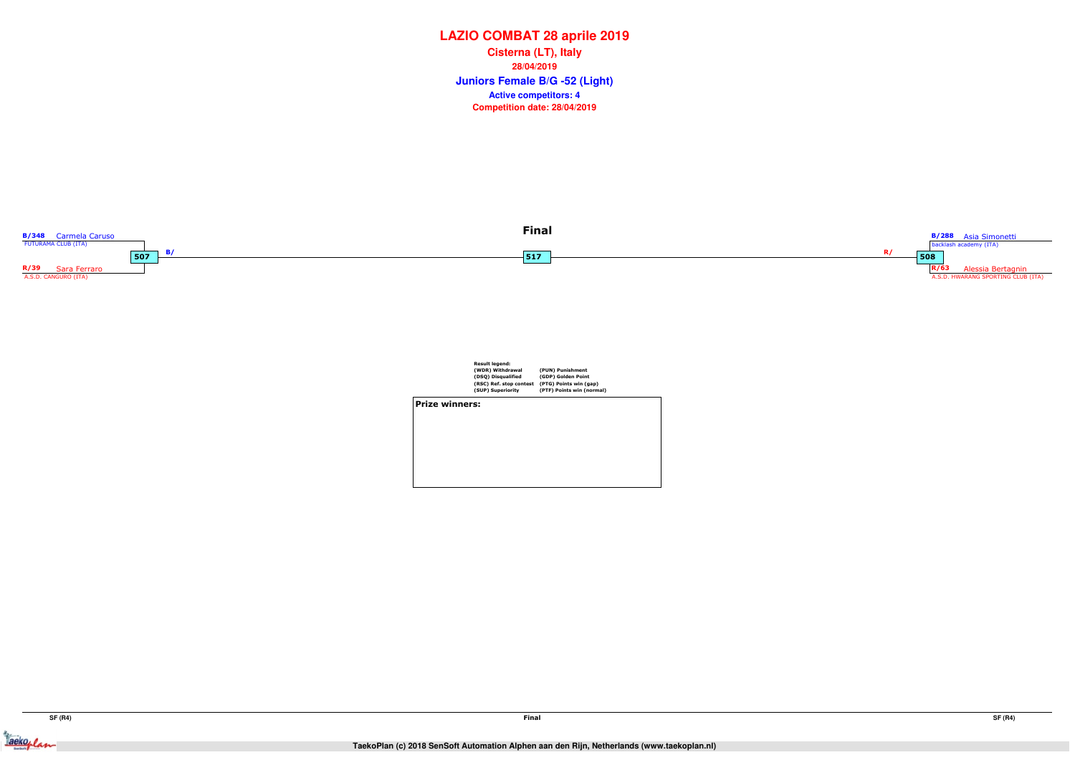

|                | <b>Result legend:</b><br>(WDR) Withdrawal<br>(DSQ) Disqualified<br>(RSC) Ref. stop contest<br>(SUP) Superiority | (PUN) Punishment<br>(GDP) Golden Point<br>(PTG) Points win (gap)<br>(PTF) Points win (normal) |  |
|----------------|-----------------------------------------------------------------------------------------------------------------|-----------------------------------------------------------------------------------------------|--|
| Prize winners: |                                                                                                                 |                                                                                               |  |
|                |                                                                                                                 |                                                                                               |  |
|                |                                                                                                                 |                                                                                               |  |
|                |                                                                                                                 |                                                                                               |  |
|                |                                                                                                                 |                                                                                               |  |
|                |                                                                                                                 |                                                                                               |  |

## **LAZIO COMBAT 28 aprile 2019**

**Juniors Female B/G -52 (Light) Cisterna (LT), Italy28/04/2019Competition date: 28/04/2019 Active competitors: 4**



Tackeplan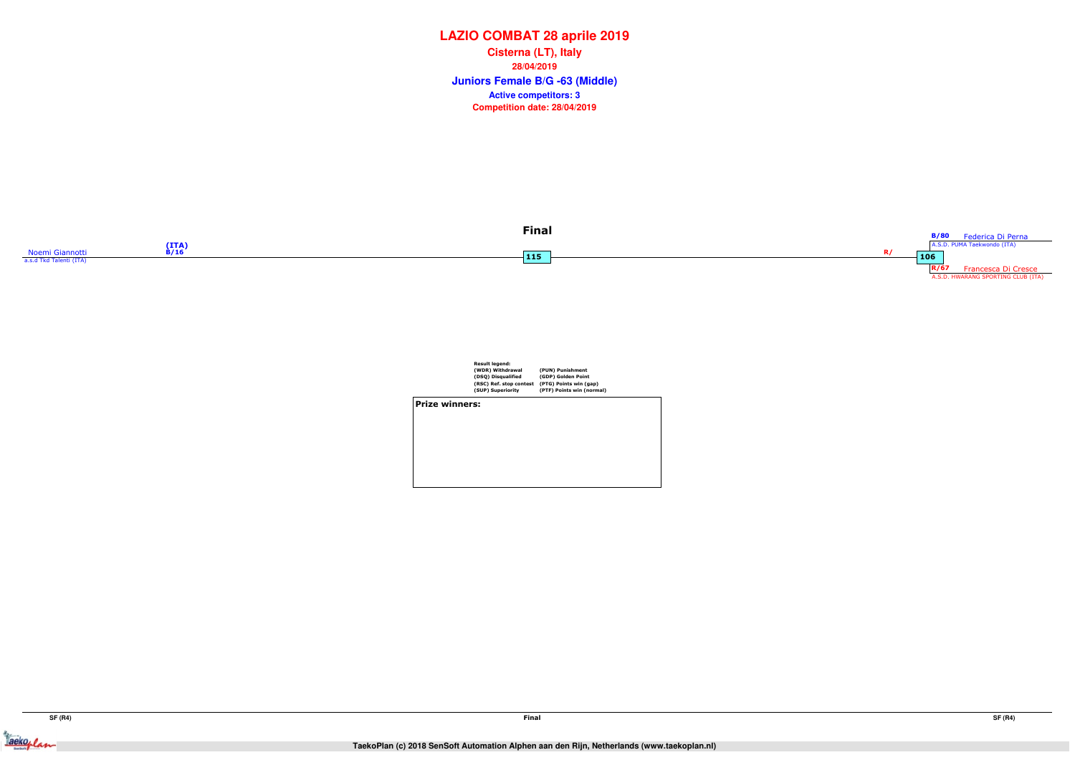Jackeplan





|                | <b>Result legend:</b><br>(WDR) Withdrawal<br>(DSQ) Disqualified<br>(RSC) Ref. stop contest<br>(SUP) Superiority | (PUN) Punishment<br>(GDP) Golden Point<br>(PTG) Points win (gap)<br>(PTF) Points win (normal) |  |
|----------------|-----------------------------------------------------------------------------------------------------------------|-----------------------------------------------------------------------------------------------|--|
| Prize winners: |                                                                                                                 |                                                                                               |  |
|                |                                                                                                                 |                                                                                               |  |
|                |                                                                                                                 |                                                                                               |  |
|                |                                                                                                                 |                                                                                               |  |
|                |                                                                                                                 |                                                                                               |  |

## **LAZIO COMBAT 28 aprile 2019**

**Juniors Female B/G -63 (Middle) Cisterna (LT), Italy28/04/2019Competition date: 28/04/2019 Active competitors: 3**

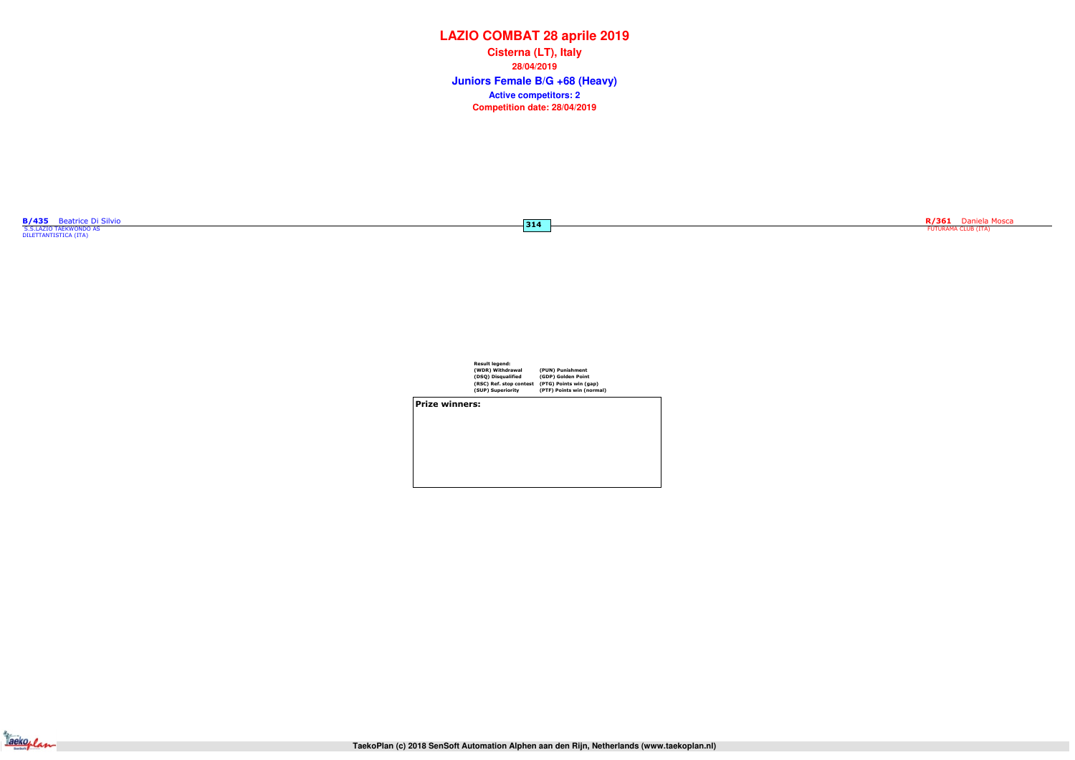| <b>Result legend:</b>   |           |
|-------------------------|-----------|
| (WDR) Withdrawal        | (PUN)     |
| (DSQ) Disqualified      | (GDP)     |
| (RSC) Ref. stop contest | $(PTG)$ I |
| (SUP) Superiority       | (PTF) F   |

(PUN) Punishment (GDP) Golden Point (PTG) Points win (gap) (PTF) Points win (normal)

Prize winners:



# **LAZIO COMBAT 28 aprile 2019**

**Juniors Female B/G +68 (Heavy) Cisterna (LT), Italy28/04/2019Competition date: 28/04/2019 Active competitors: 2**

<mark>B/435</mark> Beatrice Di Silvio **Santistica Di Silvio Septembri di Silvio S.**<br>S.S.LAZIO TAEKWONDO AS **SANTISTICA (ITA)**<br>DILETTANTISTICA (ITA)

 $\boxed{314}$ 

R/361 Daniela Mosca<br>FUTURAMA CLUB (ITA)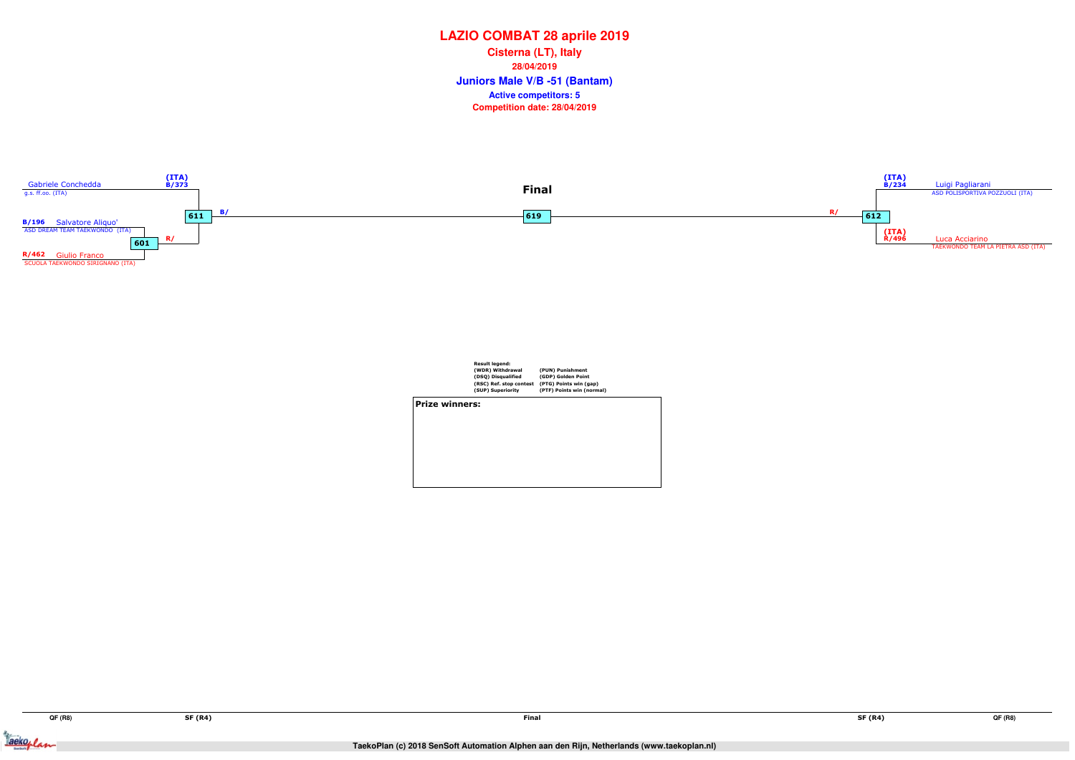Jackeylan



|                       | <b>Result legend:</b><br>(WDR) Withdrawal<br>(DSQ) Disqualified<br>(RSC) Ref. stop contest<br>(SUP) Superiority | (PUN) Punishment<br>(GDP) Golden Point<br>(PTG) Points win (gap)<br>(PTF) Points win (normal) |
|-----------------------|-----------------------------------------------------------------------------------------------------------------|-----------------------------------------------------------------------------------------------|
| <b>Prize winners:</b> |                                                                                                                 |                                                                                               |
|                       |                                                                                                                 |                                                                                               |
|                       |                                                                                                                 |                                                                                               |
|                       |                                                                                                                 |                                                                                               |

## **LAZIO COMBAT 28 aprile 2019**

**Juniors Male V/B -51 (Bantam) Cisterna (LT), Italy28/04/2019Competition date: 28/04/2019 Active competitors: 5**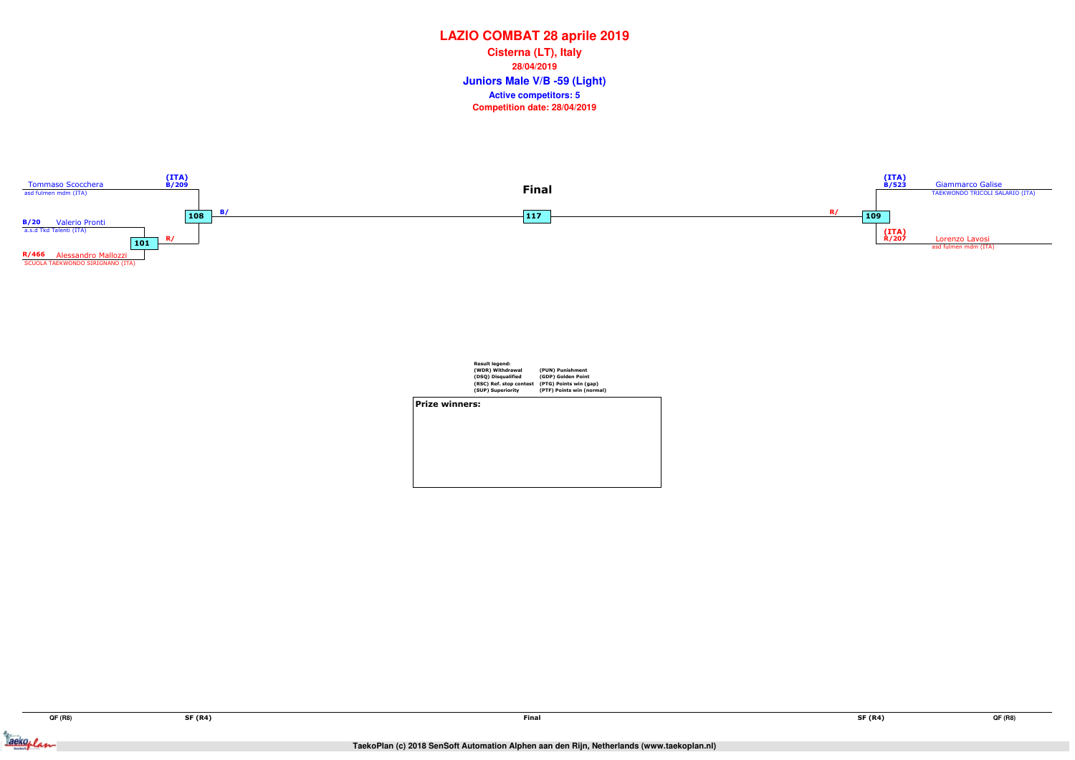Tackeplan



|                       | <b>Result legend:</b><br>(WDR) Withdrawal<br>(DSQ) Disqualified<br>(RSC) Ref. stop contest<br>(SUP) Superiority | (PUN) Punishment<br>(GDP) Golden Point<br>(PTG) Points win (gap)<br>(PTF) Points win (normal) |
|-----------------------|-----------------------------------------------------------------------------------------------------------------|-----------------------------------------------------------------------------------------------|
| <b>Prize winners:</b> |                                                                                                                 |                                                                                               |
|                       |                                                                                                                 |                                                                                               |

## **LAZIO COMBAT 28 aprile 2019**

**Juniors Male V/B -59 (Light) Cisterna (LT), Italy28/04/2019Competition date: 28/04/2019 Active competitors: 5**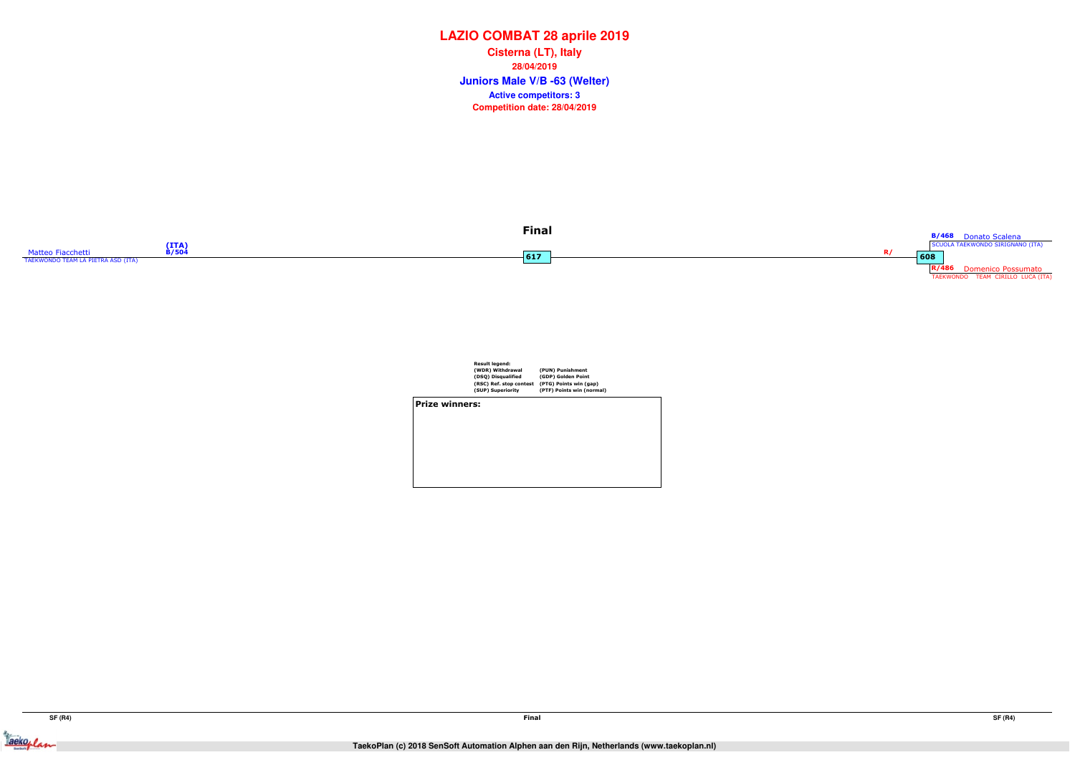



Result legend: (WDR) Withdrawal (DSQ) Disqualified (RSC) Ref. stop contest (SUP) Superiority(PUN) Punishment (GDP) Golden Point (PTG) Points win (gap) (PTF) Points win (normal) Prize winners:

## **LAZIO COMBAT 28 aprile 2019**

**Juniors Male V/B -63 (Welter) Cisterna (LT), Italy28/04/2019Competition date: 28/04/2019 Active competitors: 3**



Jacksoplan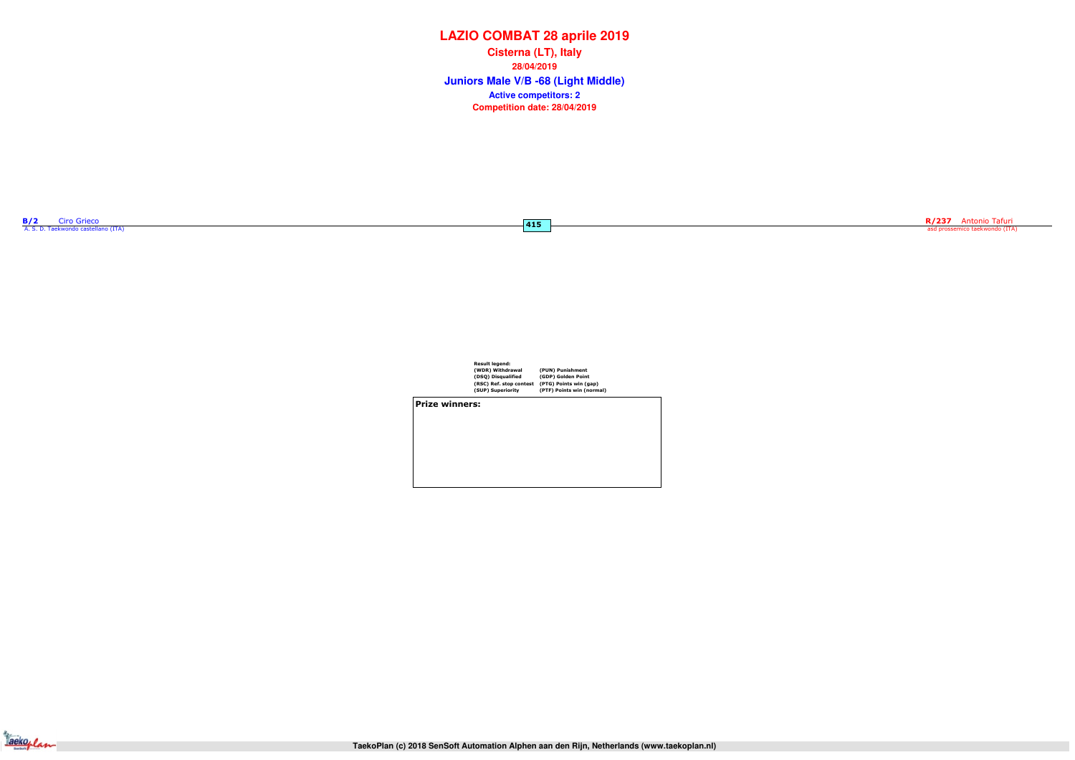| <b>B/2</b> | uro Grieco                          |  |
|------------|-------------------------------------|--|
|            | A. S. D. Taekwondo castellano (ITA) |  |

 $-415$ 

R/237 Antonio Tafuri asd prossemico taekwondo (ITA)

| Result legend:          |                           |
|-------------------------|---------------------------|
| (WDR) Withdrawal        | (PUN) Punishment          |
| (DSQ) Disqualified      | (GDP) Golden Point        |
| (RSC) Ref. stop contest | (PTG) Points win (gap)    |
| (SUP) Superiority       | (PTF) Points win (normal) |
|                         |                           |

Prize winners:



# **LAZIO COMBAT 28 aprile 2019**

**Juniors Male V/B -68 (Light Middle) Cisterna (LT), Italy28/04/2019Competition date: 28/04/2019 Active competitors: 2**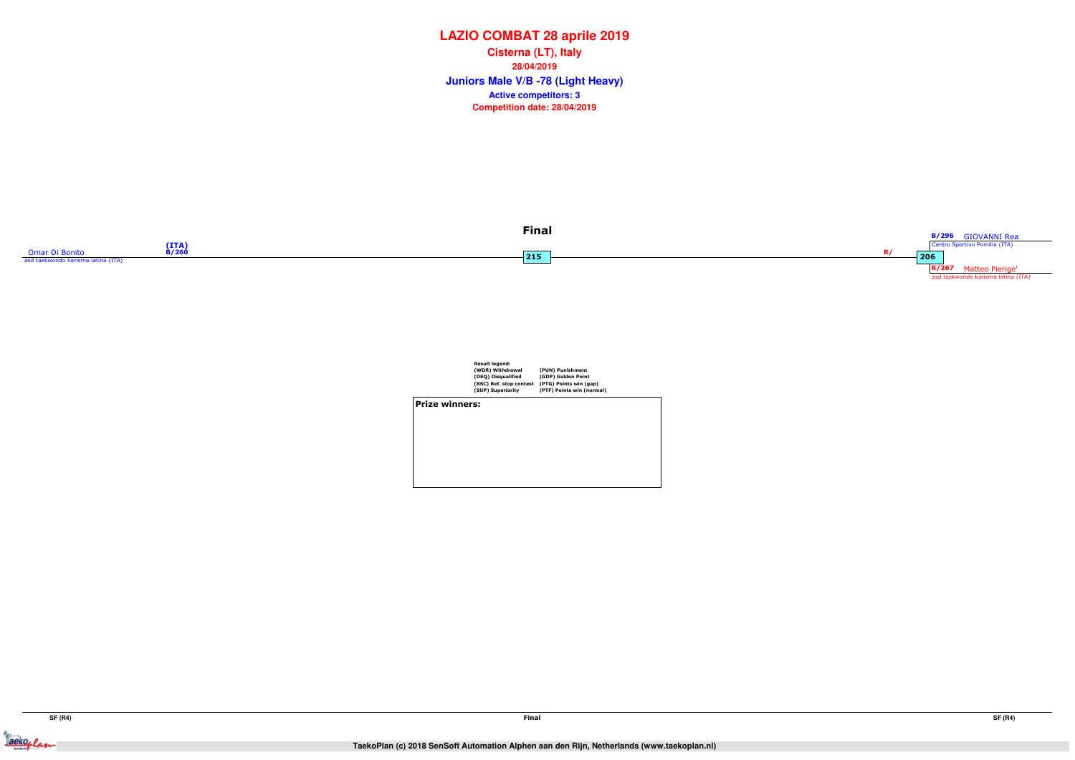



|                       | <b>Result legend:</b><br>(WDR) Withdrawal<br>(DSQ) Disqualified<br>(RSC) Ref. stop contest<br>(SUP) Superiority | (PUN) Punishment<br>(GDP) Golden Point<br>(PTG) Points win (gap)<br>(PTF) Points win (normal) |
|-----------------------|-----------------------------------------------------------------------------------------------------------------|-----------------------------------------------------------------------------------------------|
| <b>Prize winners:</b> |                                                                                                                 |                                                                                               |
|                       |                                                                                                                 |                                                                                               |
|                       |                                                                                                                 |                                                                                               |
|                       |                                                                                                                 |                                                                                               |

## **LAZIO COMBAT 28 aprile 2019**

**Juniors Male V/B -78 (Light Heavy) Cisterna (LT), Italy28/04/2019Competition date: 28/04/2019 Active competitors: 3**



Jackeplan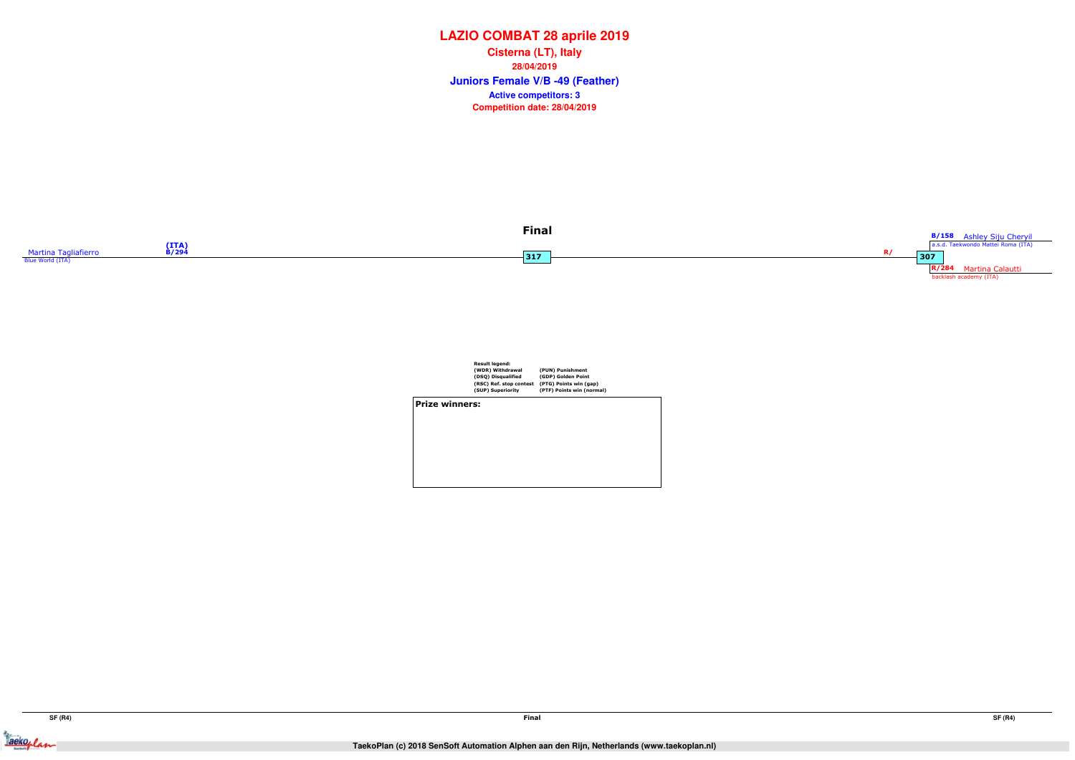

|                | <b>Result legend:</b><br>(WDR) Withdrawal<br>(DSQ) Disqualified<br>(RSC) Ref. stop contest<br>(SUP) Superiority | (PUN) Punishment<br>(GDP) Golden Point<br>(PTG) Points win (gap)<br>(PTF) Points win (normal) |  |
|----------------|-----------------------------------------------------------------------------------------------------------------|-----------------------------------------------------------------------------------------------|--|
| Prize winners: |                                                                                                                 |                                                                                               |  |
|                |                                                                                                                 |                                                                                               |  |
|                |                                                                                                                 |                                                                                               |  |

## **LAZIO COMBAT 28 aprile 2019**

**Juniors Female V/B -49 (Feather) Cisterna (LT), Italy28/04/2019Competition date: 28/04/2019 Active competitors: 3**



Jackeplan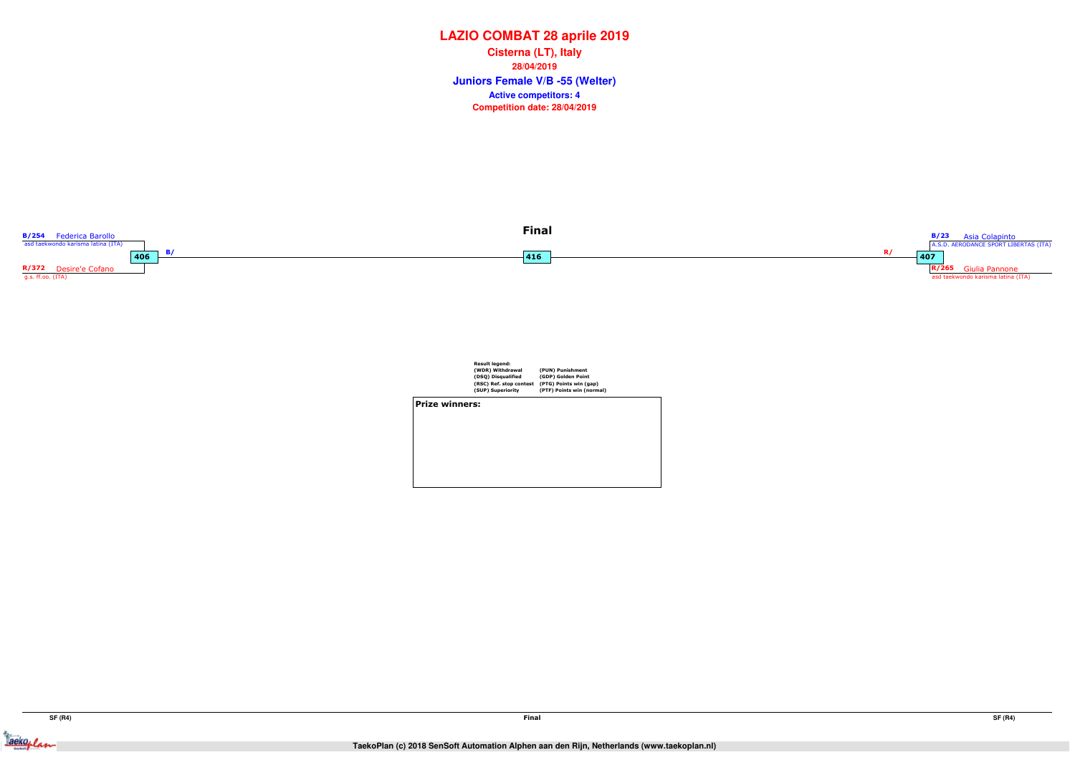Jackeplan



|                | <b>Result legend:</b><br>(WDR) Withdrawal<br>(DSQ) Disqualified<br>(RSC) Ref. stop contest<br>(SUP) Superiority | (PUN) Punishment<br>(GDP) Golden Point<br>(PTG) Points win (gap)<br>(PTF) Points win (normal) |  |
|----------------|-----------------------------------------------------------------------------------------------------------------|-----------------------------------------------------------------------------------------------|--|
| Prize winners: |                                                                                                                 |                                                                                               |  |
|                |                                                                                                                 |                                                                                               |  |
|                |                                                                                                                 |                                                                                               |  |
|                |                                                                                                                 |                                                                                               |  |
|                |                                                                                                                 |                                                                                               |  |
|                |                                                                                                                 |                                                                                               |  |

## **LAZIO COMBAT 28 aprile 2019**

**Juniors Female V/B -55 (Welter) Cisterna (LT), Italy28/04/2019Competition date: 28/04/2019 Active competitors: 4**

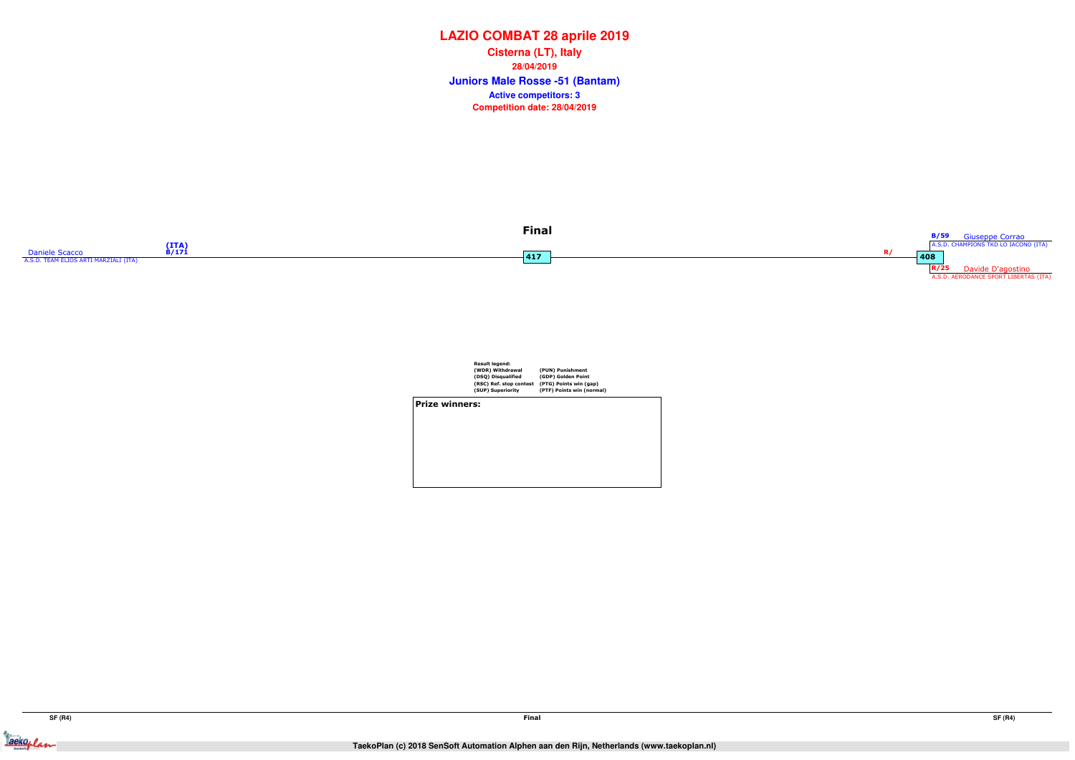



Result legend: (WDR) Withdrawal (DSQ) Disqualified (RSC) Ref. stop contest (SUP) Superiority(PUN) Punishment (GDP) Golden Point (PTG) Points win (gap) (PTF) Points win (normal) Prize winners:

## **LAZIO COMBAT 28 aprile 2019**

**Juniors Male Rosse -51 (Bantam) Cisterna (LT), Italy28/04/2019Competition date: 28/04/2019 Active competitors: 3**



Jackeplan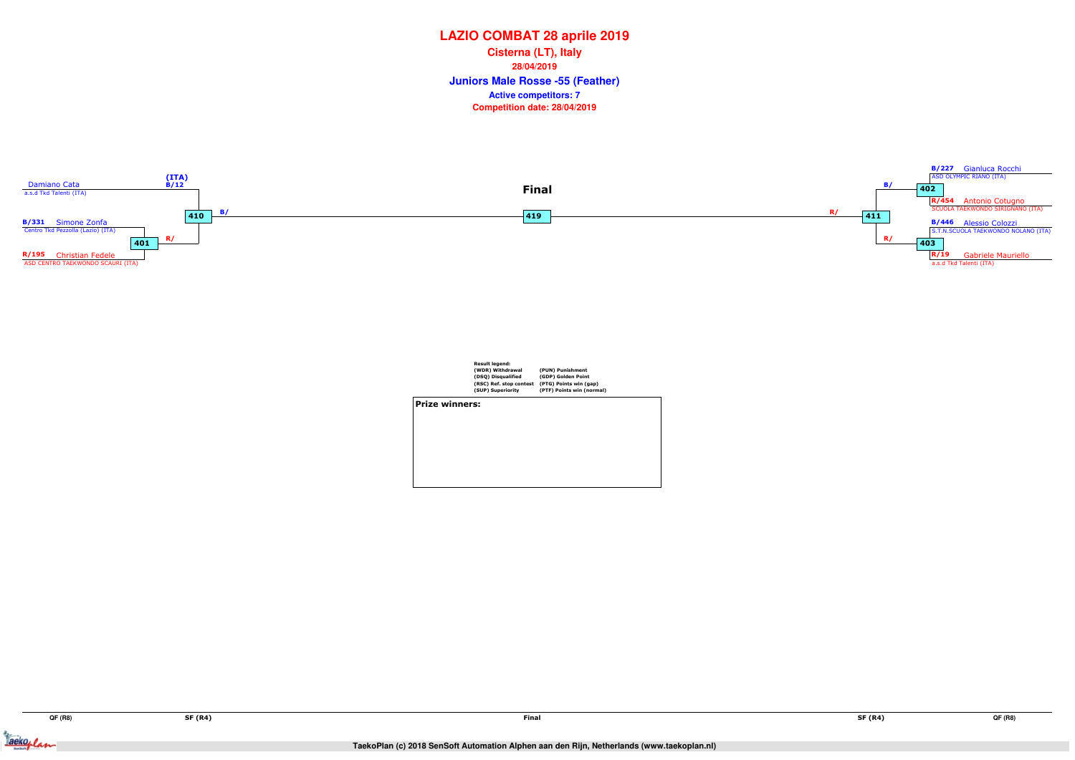Jackeplan



|                | Result legend:<br>(WDR) Withdrawal<br>(DSQ) Disqualified | (PUN) Punishment<br>(GDP) Golden Point              |  |
|----------------|----------------------------------------------------------|-----------------------------------------------------|--|
|                | (RSC) Ref. stop contest<br>(SUP) Superiority             | (PTG) Points win (gap)<br>(PTF) Points win (normal) |  |
| Prize winners: |                                                          |                                                     |  |
|                |                                                          |                                                     |  |
|                |                                                          |                                                     |  |
|                |                                                          |                                                     |  |
|                |                                                          |                                                     |  |
|                |                                                          |                                                     |  |
|                |                                                          |                                                     |  |
|                |                                                          |                                                     |  |

# **LAZIO COMBAT 28 aprile 2019**

**Juniors Male Rosse -55 (Feather) Cisterna (LT), Italy28/04/2019Competition date: 28/04/2019 Active competitors: 7**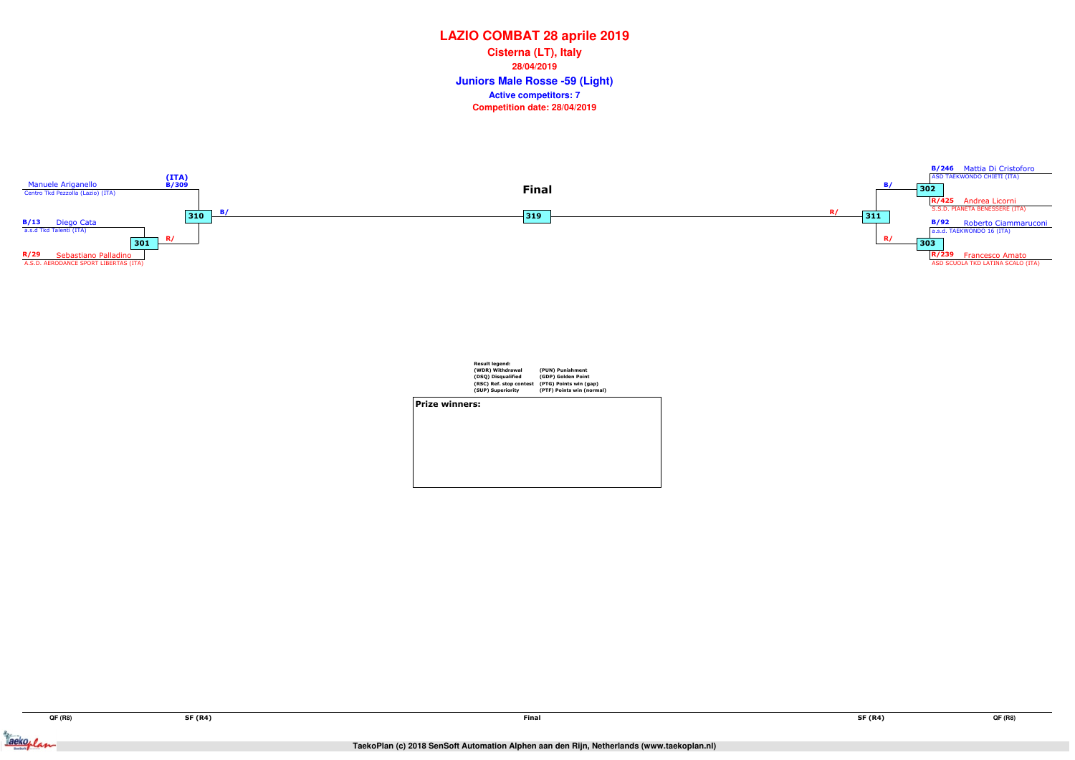Jackeplan





|                       | <b>Result legend:</b><br>(WDR) Withdrawal<br>(DSQ) Disqualified<br>(RSC) Ref. stop contest<br>(SUP) Superiority | (PUN) Punishment<br>(GDP) Golden Point<br>(PTG) Points win (gap)<br>(PTF) Points win (normal) |
|-----------------------|-----------------------------------------------------------------------------------------------------------------|-----------------------------------------------------------------------------------------------|
| <b>Prize winners:</b> |                                                                                                                 |                                                                                               |
|                       |                                                                                                                 |                                                                                               |

# **LAZIO COMBAT 28 aprile 2019**

**Juniors Male Rosse -59 (Light) Cisterna (LT), Italy28/04/2019Competition date: 28/04/2019 Active competitors: 7**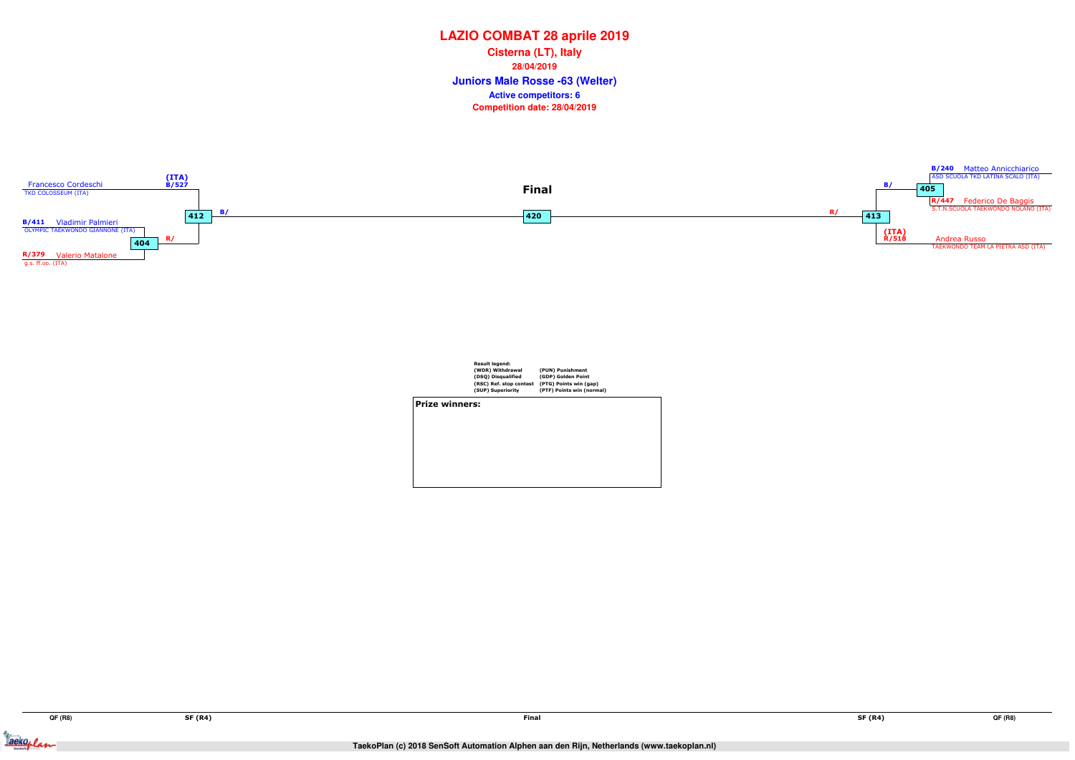Jackoplan





|                       | <b>Result legend:</b><br>(WDR) Withdrawal<br>(DSQ) Disqualified<br>(RSC) Ref. stop contest<br>(SUP) Superiority | (PUN) Punishment<br>(GDP) Golden Point<br>(PTG) Points win (gap)<br>(PTF) Points win (normal) |
|-----------------------|-----------------------------------------------------------------------------------------------------------------|-----------------------------------------------------------------------------------------------|
| <b>Prize winners:</b> |                                                                                                                 |                                                                                               |
|                       |                                                                                                                 |                                                                                               |
|                       |                                                                                                                 |                                                                                               |
|                       |                                                                                                                 |                                                                                               |
|                       |                                                                                                                 |                                                                                               |

## **LAZIO COMBAT 28 aprile 2019**

**Juniors Male Rosse -63 (Welter) Cisterna (LT), Italy28/04/2019Competition date: 28/04/2019 Active competitors: 6**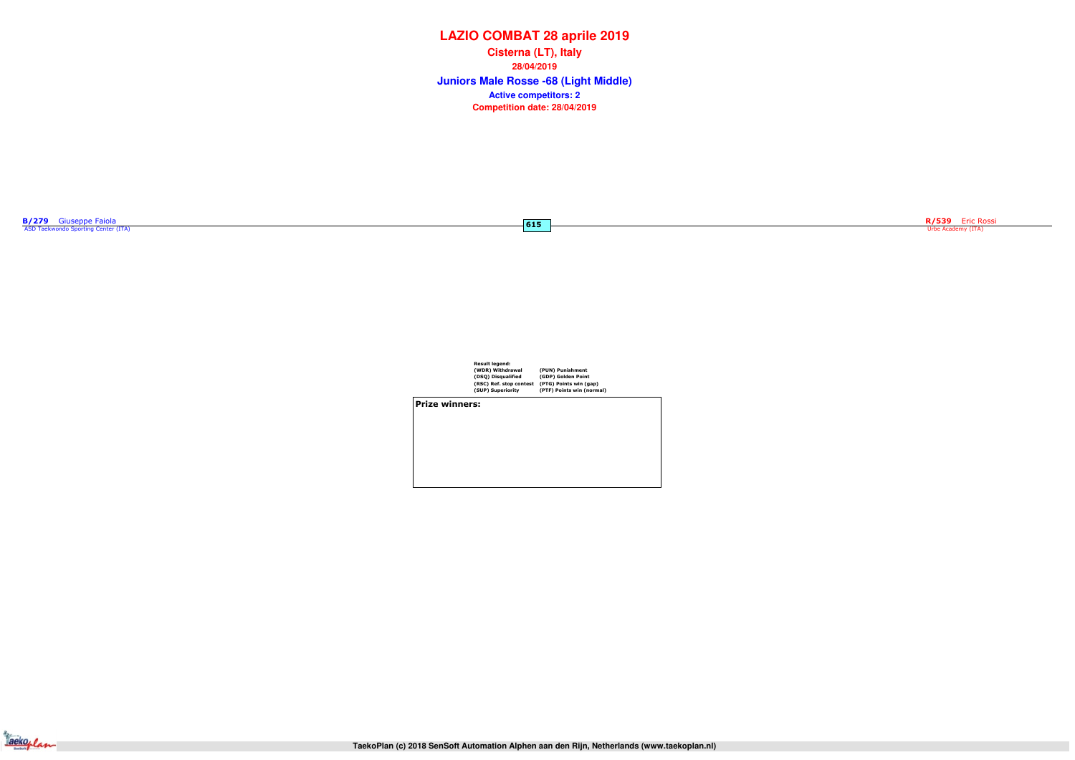| <b>B/279</b> | Giuseppe Faiola                     |  |
|--------------|-------------------------------------|--|
|              | ASD Taekwondo Sporting Center (ITA) |  |

 $-615$ 



| Result legend:          |                           |
|-------------------------|---------------------------|
| (WDR) Withdrawal        | (PUN) Punishment          |
| (DSQ) Disqualified      | (GDP) Golden Point        |
| (RSC) Ref. stop contest | (PTG) Points win (gap)    |
| (SUP) Superiority       | (PTF) Points win (normal) |
|                         |                           |

Prize winners:



# **LAZIO COMBAT 28 aprile 2019**

**Juniors Male Rosse -68 (Light Middle) Cisterna (LT), Italy28/04/2019Competition date: 28/04/2019 Active competitors: 2**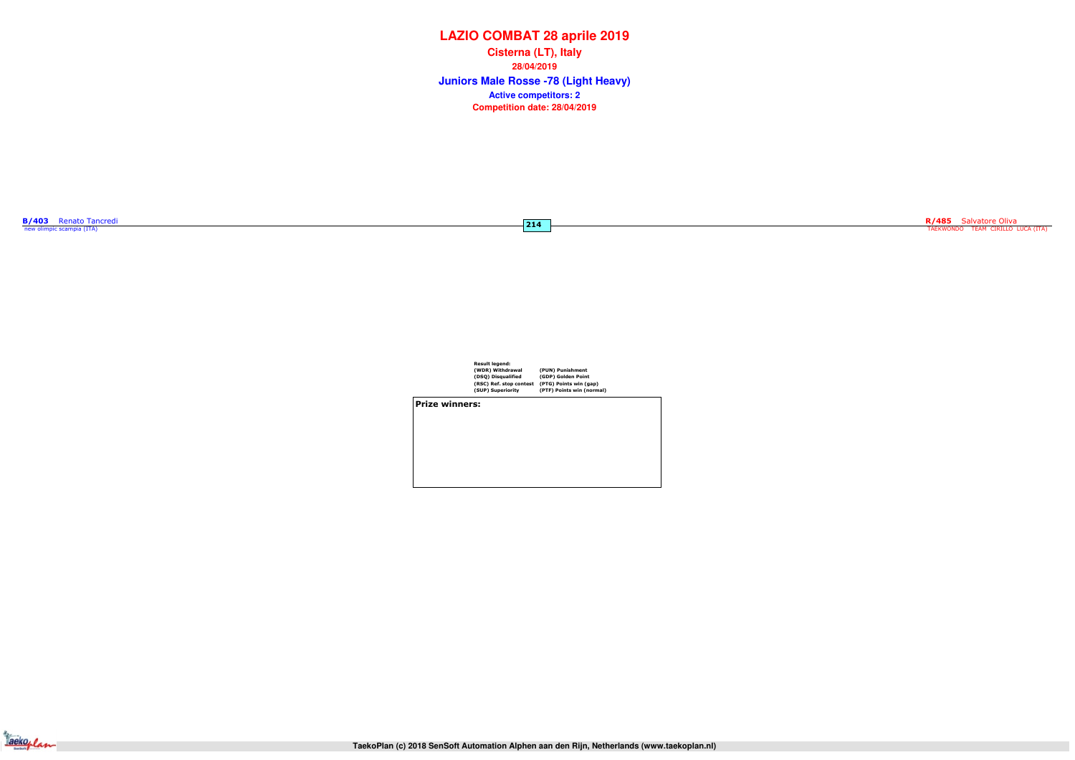



| Result legend:          |       |
|-------------------------|-------|
| (WDR) Withdrawal        | (PUN) |
| (DSQ) Disqualified      | (GDP) |
| (RSC) Ref. stop contest | (PTG) |
| (SUP) Superiority       | (PTF) |
|                         |       |

(PUN) Punishment (GDP) Golden Point (PTG) Points win (gap) (PTF) Points win (normal)

Prize winners:



# **LAZIO COMBAT 28 aprile 2019**

**Juniors Male Rosse -78 (Light Heavy) Cisterna (LT), Italy28/04/2019Competition date: 28/04/2019 Active competitors: 2**

**R/485** Salvatore Oliva<br>TAEKWONDO TEAM CIRILLO LUCA (ITA)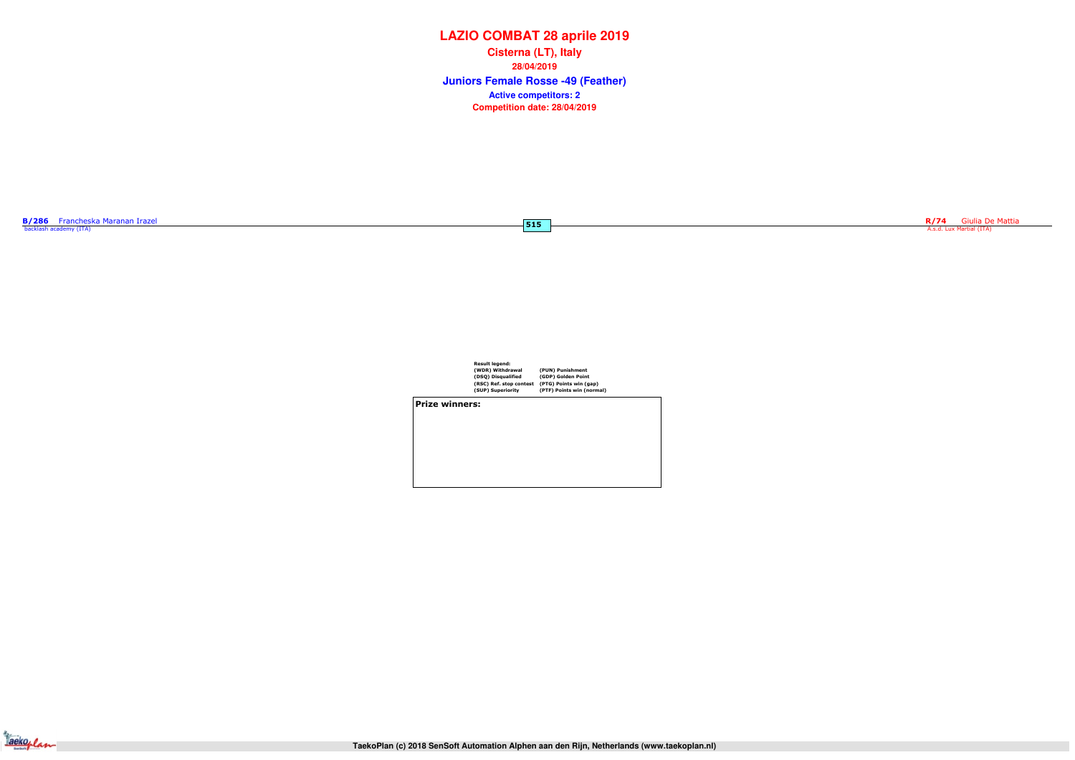| Result legend:          |                           |
|-------------------------|---------------------------|
| (WDR) Withdrawal        | (PUN) Punishment          |
| (DSQ) Disqualified      | (GDP) Golden Point        |
| (RSC) Ref. stop contest | (PTG) Points win (gap)    |
| (SUP) Superiority       | (PTF) Points win (normal) |
|                         |                           |

Prize winners:

Jackeplan

# **LAZIO COMBAT 28 aprile 2019**

**Juniors Female Rosse -49 (Feather) Cisterna (LT), Italy28/04/2019Competition date: 28/04/2019 Active competitors: 2**

 $-515$ 

R/74 Giulia De Mattia<br>A.s.d. Lux Martial (ITA)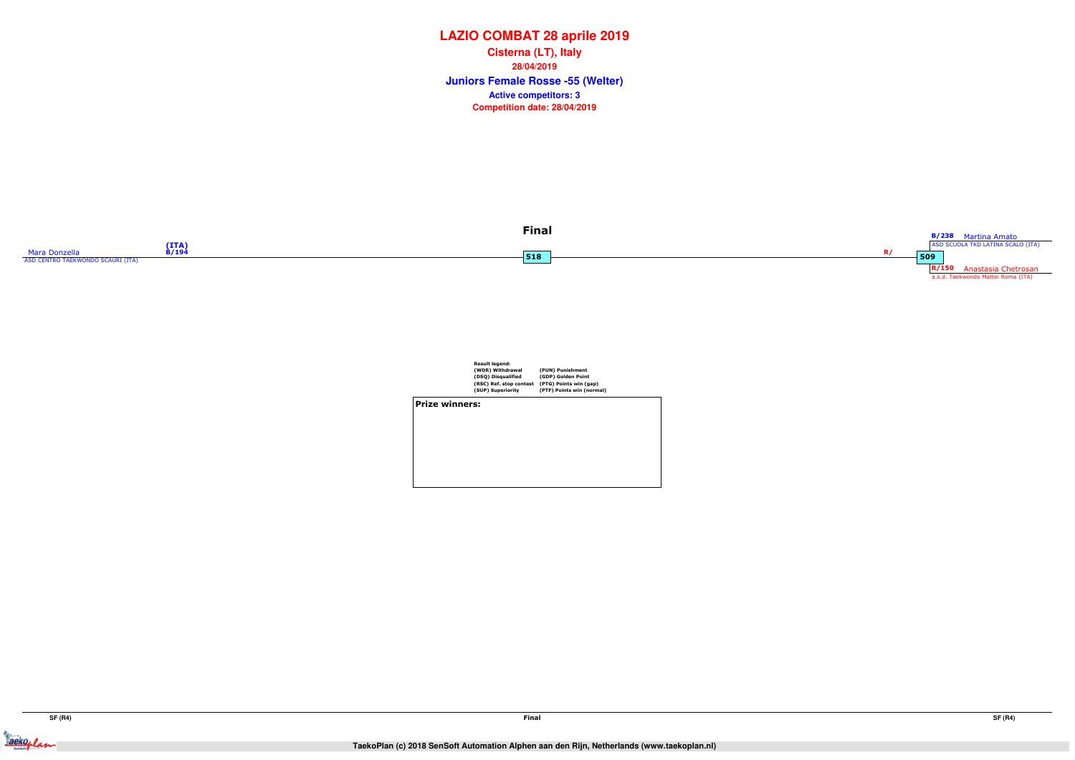



|                       | <b>Result legend:</b>   |                           |  |
|-----------------------|-------------------------|---------------------------|--|
|                       | (WDR) Withdrawal        | (PUN) Punishment          |  |
|                       | (DSQ) Disqualified      | (GDP) Golden Point        |  |
|                       | (RSC) Ref. stop contest | (PTG) Points win (gap)    |  |
|                       | (SUP) Superiority       | (PTF) Points win (normal) |  |
| <b>Prize winners:</b> |                         |                           |  |
|                       |                         |                           |  |
|                       |                         |                           |  |
|                       |                         |                           |  |
|                       |                         |                           |  |
|                       |                         |                           |  |
|                       |                         |                           |  |
|                       |                         |                           |  |
|                       |                         |                           |  |

## **LAZIO COMBAT 28 aprile 2019**

**Juniors Female Rosse -55 (Welter) Cisterna (LT), Italy28/04/2019Competition date: 28/04/2019 Active competitors: 3**



Jackeplan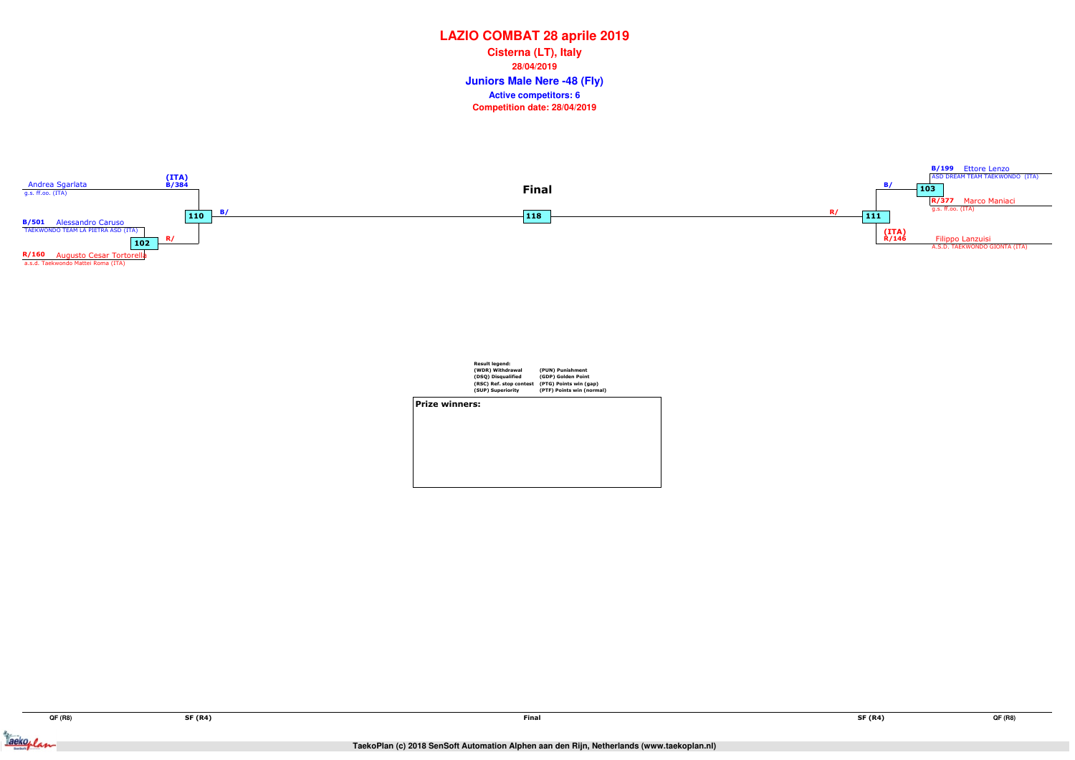Jackoplan





|                       | Result legend:          |                           |
|-----------------------|-------------------------|---------------------------|
|                       | (WDR) Withdrawal        | (PUN) Punishment          |
|                       | (DSQ) Disqualified      | (GDP) Golden Point        |
|                       | (RSC) Ref. stop contest | (PTG) Points win (gap)    |
|                       | (SUP) Superiority       | (PTF) Points win (normal) |
| <b>Prize winners:</b> |                         |                           |

## **LAZIO COMBAT 28 aprile 2019**

**Juniors Male Nere -48 (Fly) Cisterna (LT), Italy28/04/2019Competition date: 28/04/2019 Active competitors: 6**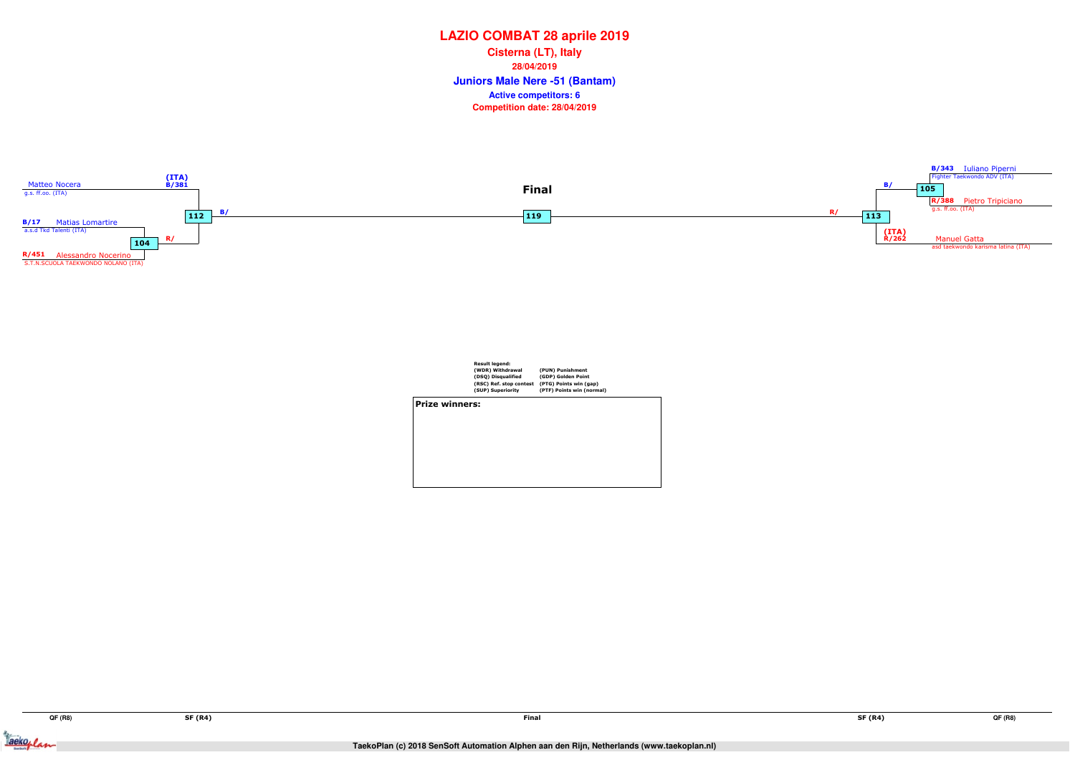Jackeplan





|                | <b>Result legend:</b><br>(WDR) Withdrawal<br>(DSQ) Disqualified<br>(RSC) Ref. stop contest<br>(SUP) Superiority | (PUN) Punishment<br>(GDP) Golden Point<br>(PTG) Points win (gap)<br>(PTF) Points win (normal) |  |
|----------------|-----------------------------------------------------------------------------------------------------------------|-----------------------------------------------------------------------------------------------|--|
| Prize winners: |                                                                                                                 |                                                                                               |  |
|                |                                                                                                                 |                                                                                               |  |
|                |                                                                                                                 |                                                                                               |  |

## **LAZIO COMBAT 28 aprile 2019**

**Juniors Male Nere -51 (Bantam) Cisterna (LT), Italy28/04/2019Competition date: 28/04/2019 Active competitors: 6**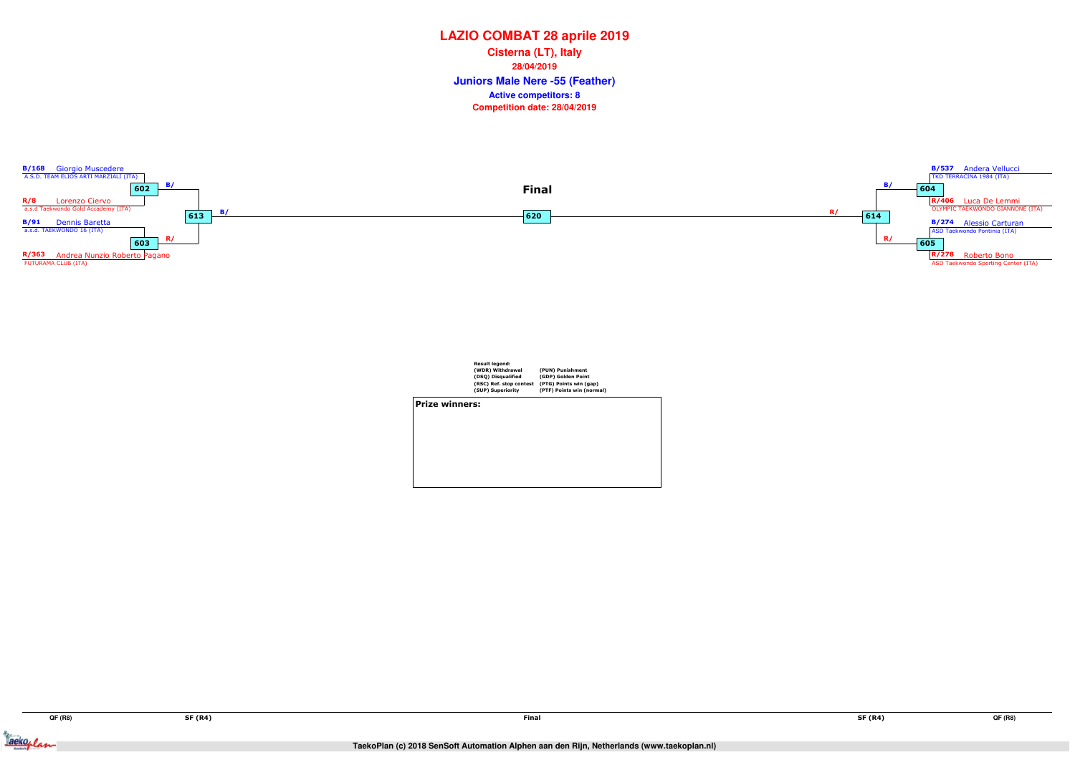Jackeplan



|                       | <b>Result legend:</b><br>(WDR) Withdrawal<br>(DSQ) Disqualified<br>(RSC) Ref. stop contest | (PUN) Punishment<br>(GDP) Golden Point<br>(PTG) Points win (gap) |
|-----------------------|--------------------------------------------------------------------------------------------|------------------------------------------------------------------|
|                       | (SUP) Superiority                                                                          | (PTF) Points win (normal)                                        |
| <b>Prize winners:</b> |                                                                                            |                                                                  |

#### **LAZIO COMBAT 28 aprile 2019**

**Juniors Male Nere -55 (Feather) Cisterna (LT), Italy28/04/2019Competition date: 28/04/2019 Active competitors: 8**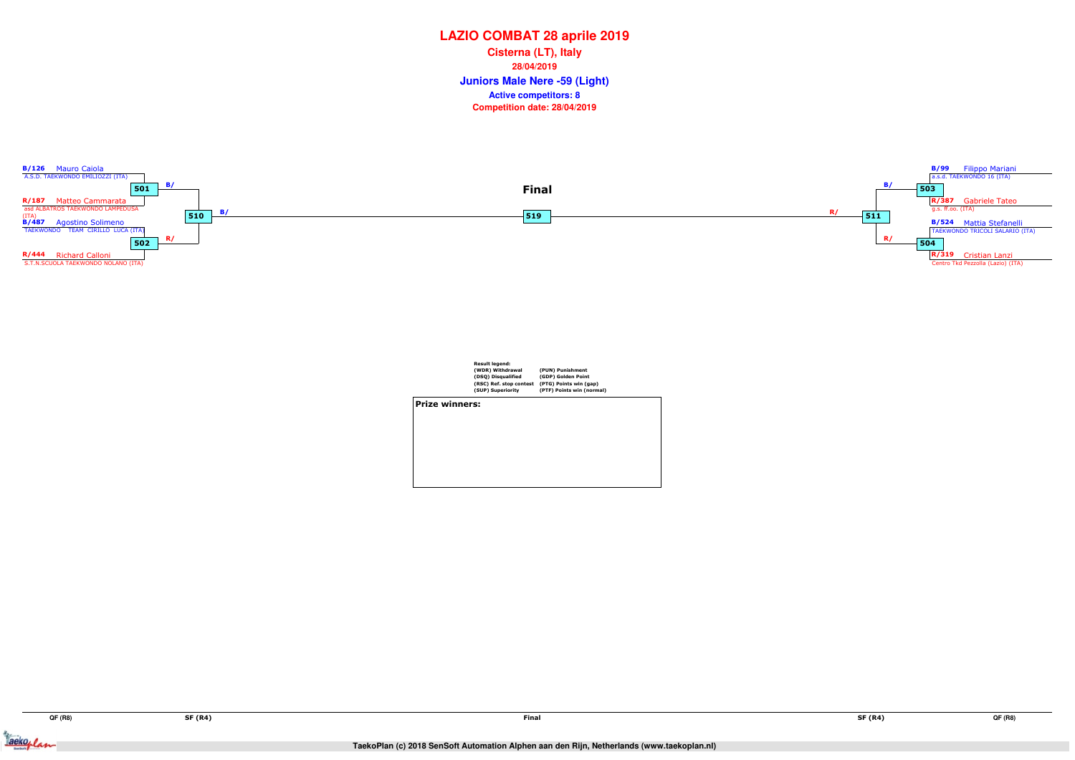Jackoplan



|                       | <b>Result legend:</b>   |                           |
|-----------------------|-------------------------|---------------------------|
|                       | (WDR) Withdrawal        | (PUN) Punishment          |
|                       | (DSQ) Disqualified      | (GDP) Golden Point        |
|                       | (RSC) Ref. stop contest | (PTG) Points win (gap)    |
|                       | (SUP) Superiority       | (PTF) Points win (normal) |
| <b>Prize winners:</b> |                         |                           |
|                       |                         |                           |
|                       |                         |                           |
|                       |                         |                           |
|                       |                         |                           |
|                       |                         |                           |
|                       |                         |                           |
|                       |                         |                           |

#### **LAZIO COMBAT 28 aprile 2019**

**Juniors Male Nere -59 (Light) Cisterna (LT), Italy28/04/2019Competition date: 28/04/2019 Active competitors: 8**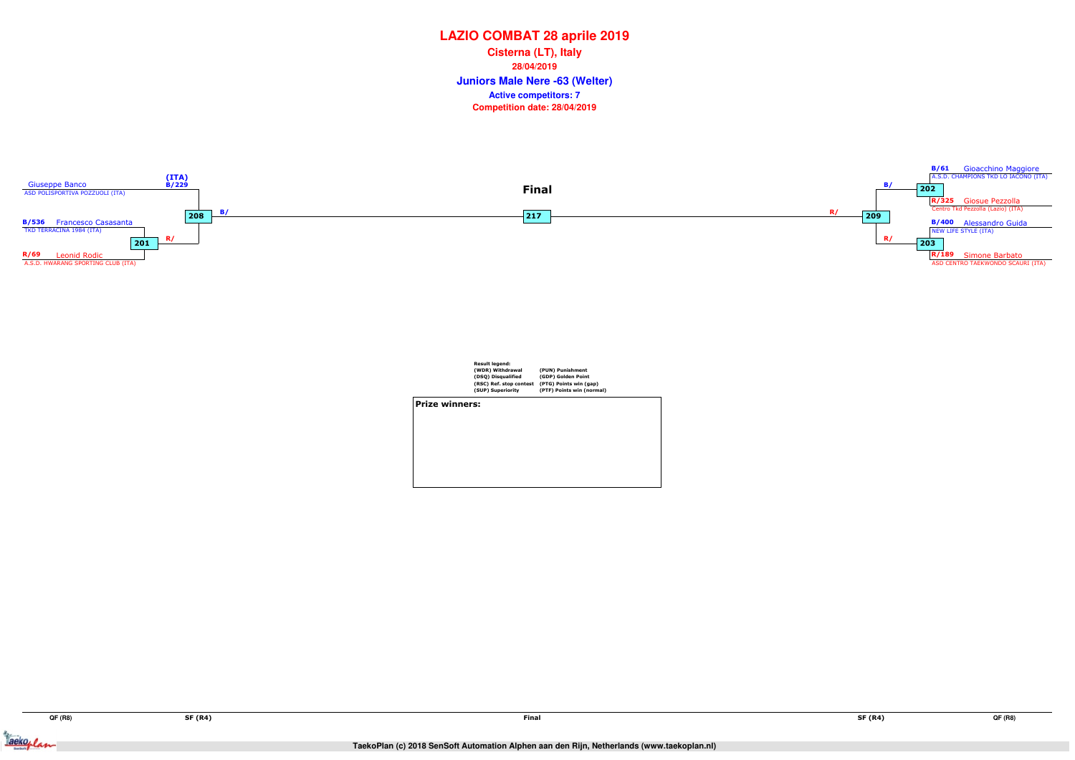Jackeplan



|                | <b>Result legend:</b><br>(WDR) Withdrawal<br>(DSQ) Disqualified<br>(RSC) Ref. stop contest<br>(SUP) Superiority | (PUN) Punishment<br>(GDP) Golden Point<br>(PTG) Points win (gap)<br>(PTF) Points win (normal) |  |
|----------------|-----------------------------------------------------------------------------------------------------------------|-----------------------------------------------------------------------------------------------|--|
| Prize winners: |                                                                                                                 |                                                                                               |  |
|                |                                                                                                                 |                                                                                               |  |
|                |                                                                                                                 |                                                                                               |  |
|                |                                                                                                                 |                                                                                               |  |
|                |                                                                                                                 |                                                                                               |  |
|                |                                                                                                                 |                                                                                               |  |
|                |                                                                                                                 |                                                                                               |  |

# **LAZIO COMBAT 28 aprile 2019**

**Juniors Male Nere -63 (Welter) Cisterna (LT), Italy28/04/2019Competition date: 28/04/2019 Active competitors: 7**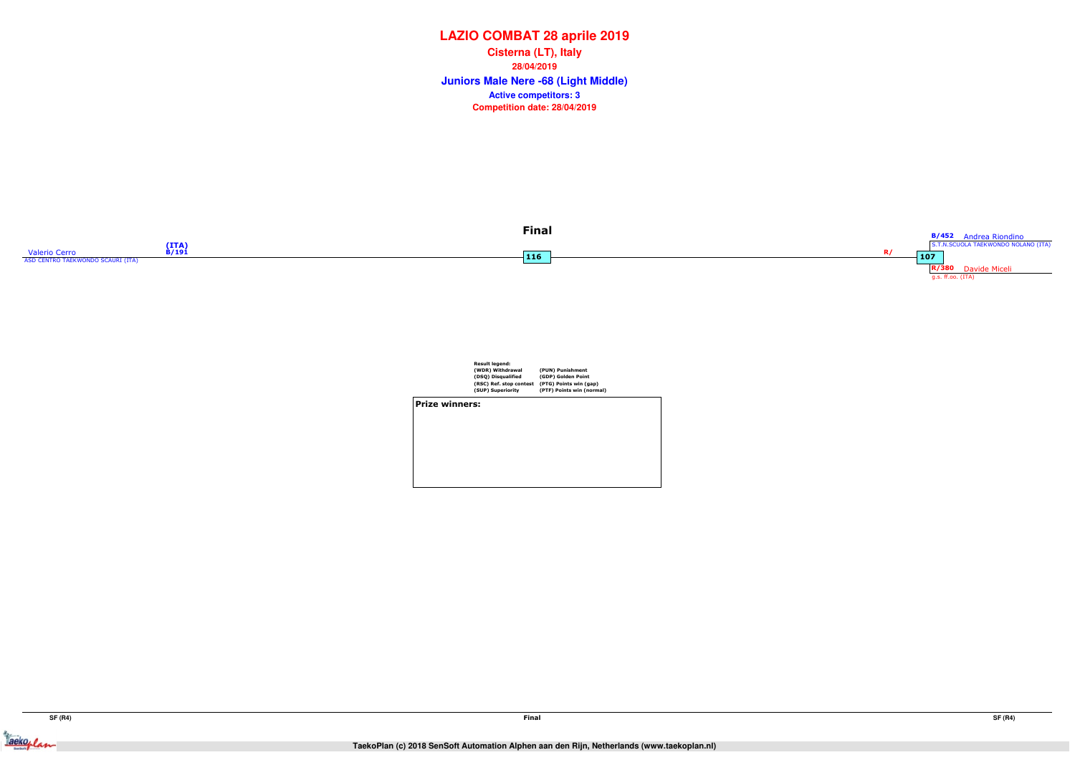



Result legend: (WDR) Withdrawal (DSQ) Disqualified (RSC) Ref. stop contest (SUP) Superiority(PUN) Punishment (GDP) Golden Point (PTG) Points win (gap) (PTF) Points win (normal) Prize winners:



## **LAZIO COMBAT 28 aprile 2019**

**Juniors Male Nere -68 (Light Middle) Cisterna (LT), Italy28/04/2019Competition date: 28/04/2019 Active competitors: 3**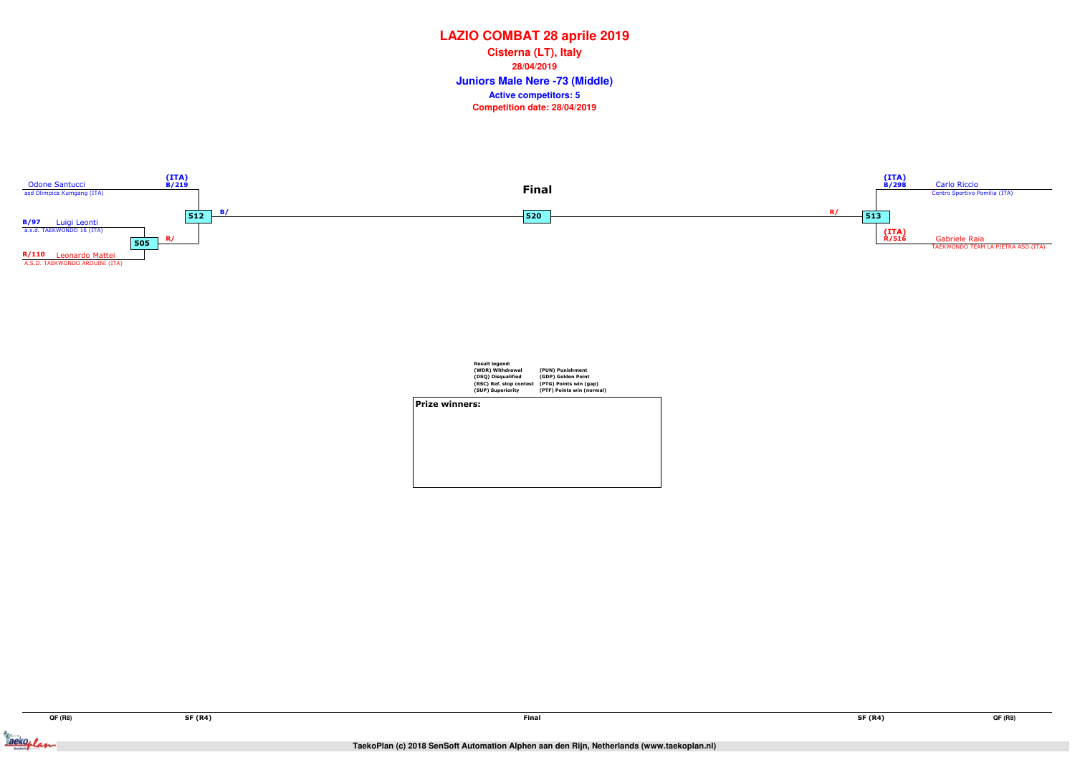Jackeplan



| <b>Prize winners:</b> |                         |                           |
|-----------------------|-------------------------|---------------------------|
|                       | (SUP) Superiority       | (PTF) Points win (normal) |
|                       | (RSC) Ref. stop contest | (PTG) Points win (gap)    |
|                       | (DSQ) Disqualified      | (GDP) Golden Point        |
|                       | (WDR) Withdrawal        | (PUN) Punishment          |
|                       | <b>Result leaend:</b>   |                           |

## **LAZIO COMBAT 28 aprile 2019**

**Juniors Male Nere -73 (Middle) Cisterna (LT), Italy28/04/2019Competition date: 28/04/2019 Active competitors: 5**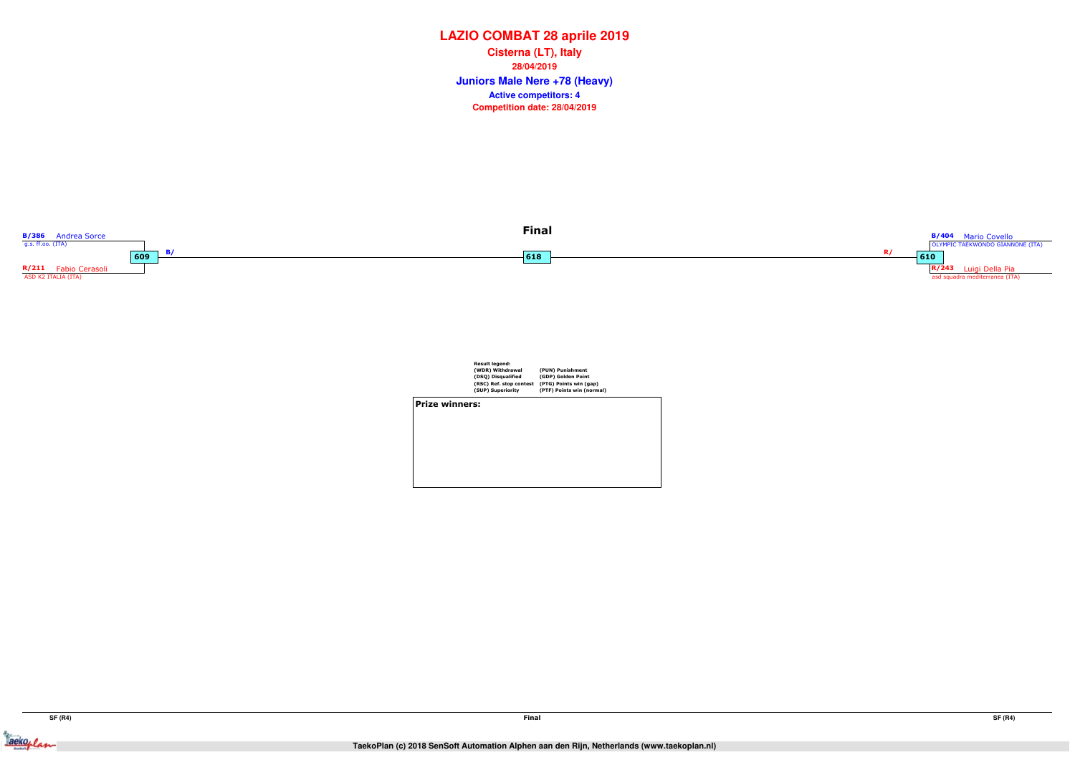Jackeplan



|                | <b>Result legend:</b><br>(WDR) Withdrawal<br>(DSQ) Disqualified<br>(RSC) Ref. stop contest<br>(SUP) Superiority | (PUN) Punishment<br>(GDP) Golden Point<br>(PTG) Points win (gap)<br>(PTF) Points win (normal) |  |
|----------------|-----------------------------------------------------------------------------------------------------------------|-----------------------------------------------------------------------------------------------|--|
| Prize winners: |                                                                                                                 |                                                                                               |  |
|                |                                                                                                                 |                                                                                               |  |
|                |                                                                                                                 |                                                                                               |  |
|                |                                                                                                                 |                                                                                               |  |
|                |                                                                                                                 |                                                                                               |  |
|                |                                                                                                                 |                                                                                               |  |

## **LAZIO COMBAT 28 aprile 2019**

**Juniors Male Nere +78 (Heavy) Cisterna (LT), Italy28/04/2019Competition date: 28/04/2019 Active competitors: 4**

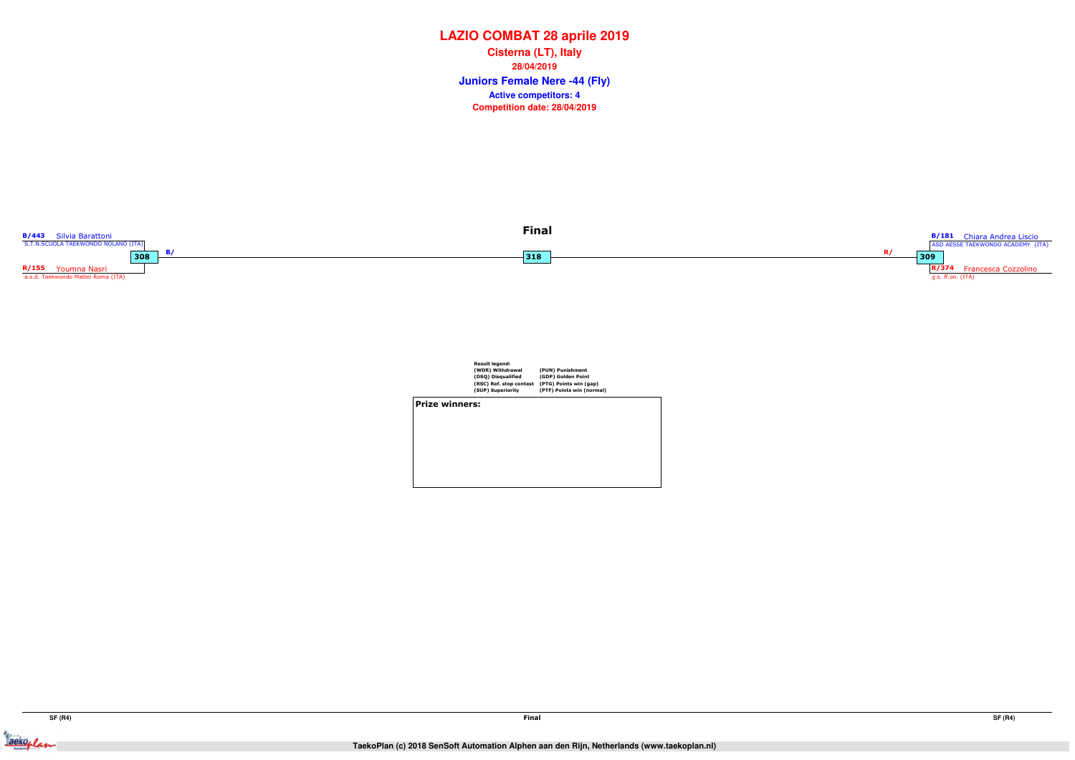Jackeplan



| <b>Result legend:</b><br>(WDR) Withdrawal<br>(DSQ) Disqualified<br>(SUP) Superiority | (PUN) Punishment<br>(GDP) Golden Point<br>(PTG) Points win (gap)<br>(PTF) Points win (normal) |                         |
|--------------------------------------------------------------------------------------|-----------------------------------------------------------------------------------------------|-------------------------|
| <b>Prize winners:</b>                                                                |                                                                                               |                         |
|                                                                                      |                                                                                               |                         |
|                                                                                      |                                                                                               |                         |
|                                                                                      |                                                                                               |                         |
|                                                                                      |                                                                                               |                         |
|                                                                                      |                                                                                               |                         |
|                                                                                      |                                                                                               | (RSC) Ref. stop contest |

## **LAZIO COMBAT 28 aprile 2019**

**Juniors Female Nere -44 (Fly) Cisterna (LT), Italy28/04/2019Competition date: 28/04/2019 Active competitors: 4**

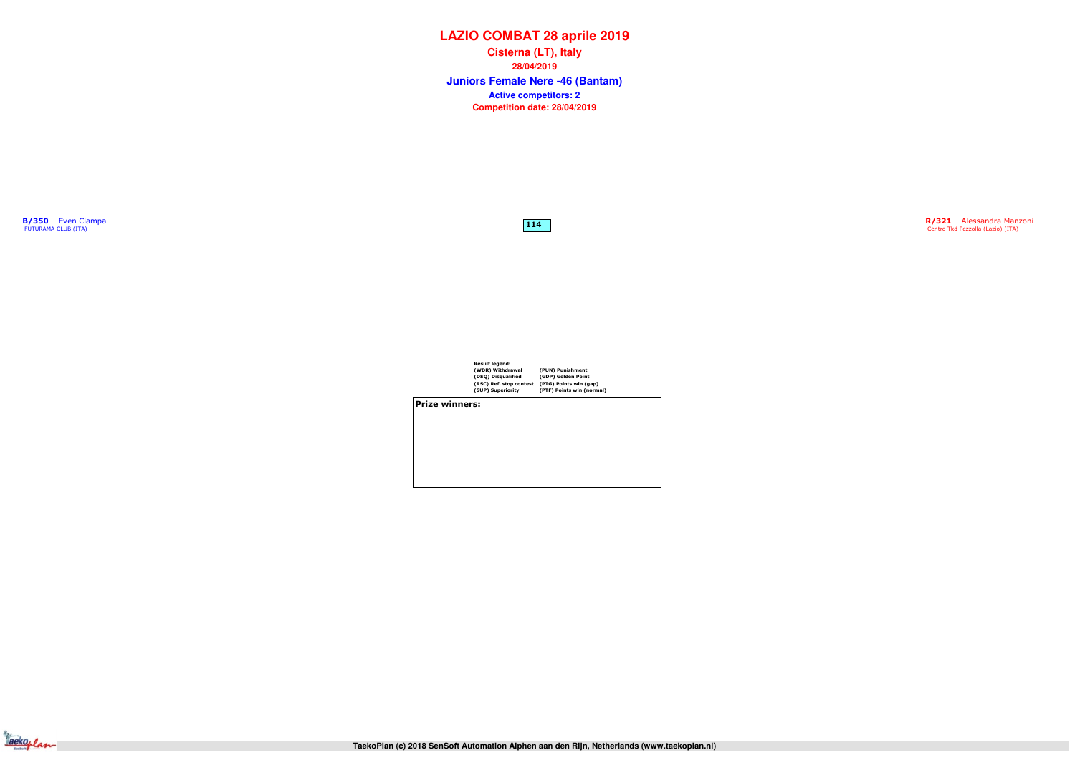| <b>Result legend:</b>   |           |
|-------------------------|-----------|
| (WDR) Withdrawal        | (PUN)     |
| (DSQ) Disqualified      | (GDP)     |
| (RSC) Ref. stop contest | $(PTG)$ I |
| (SUP) Superiority       | (PTF)P    |

(PUN) Punishment (GDP) Golden Point (PTG) Points win (gap) (PTF) Points win (normal)

Prize winners:



# **LAZIO COMBAT 28 aprile 2019**

**Juniors Female Nere -46 (Bantam) Cisterna (LT), Italy28/04/2019Competition date: 28/04/2019 Active competitors: 2**

|  | <b>B/350</b> Even Ciampa |  |
|--|--------------------------|--|
|  | FUTURAMA CLUB (ITA)      |  |

 $\overline{114}$ 

R/321 Alessandra Manzoni<br>Centro Tkd Pezzolla (Lazio) (ITA)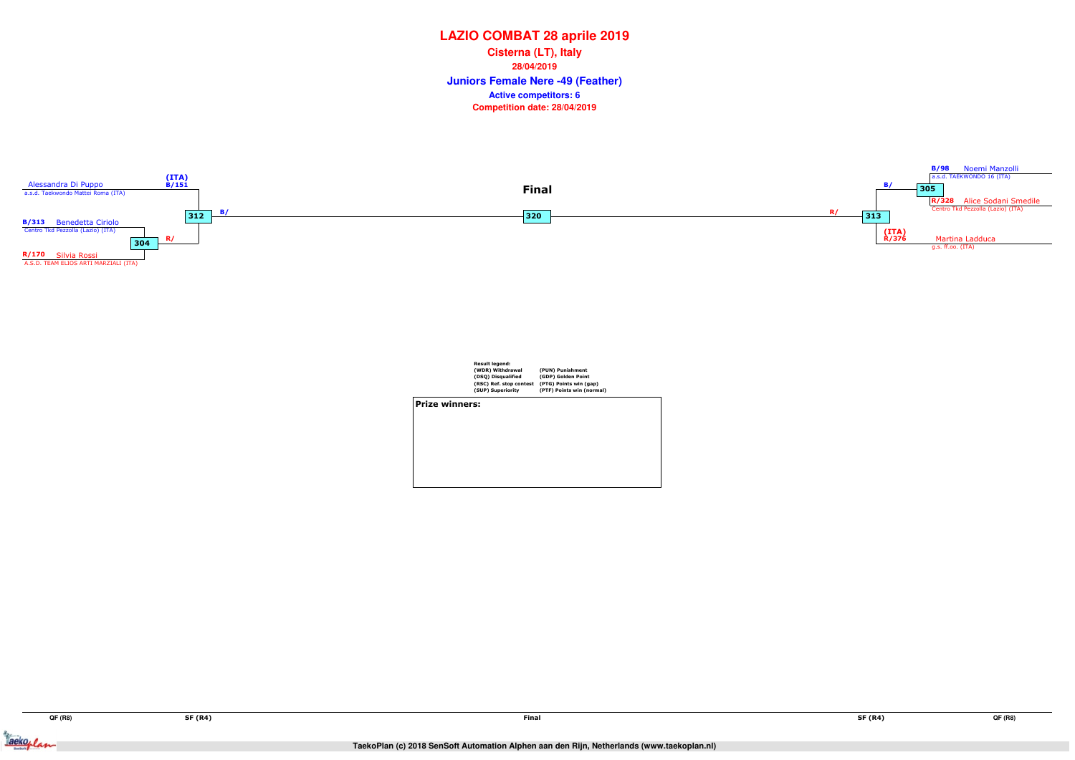Jackeplan





|                | <b>Result legend:</b><br>(WDR) Withdrawal<br>(DSQ) Disqualified<br>(RSC) Ref. stop contest<br>(SUP) Superiority | (PUN) Punishment<br>(GDP) Golden Point<br>(PTG) Points win (gap)<br>(PTF) Points win (normal) |  |
|----------------|-----------------------------------------------------------------------------------------------------------------|-----------------------------------------------------------------------------------------------|--|
| Prize winners: |                                                                                                                 |                                                                                               |  |
|                |                                                                                                                 |                                                                                               |  |
|                |                                                                                                                 |                                                                                               |  |
|                |                                                                                                                 |                                                                                               |  |
|                |                                                                                                                 |                                                                                               |  |
|                |                                                                                                                 |                                                                                               |  |
|                |                                                                                                                 |                                                                                               |  |

## **LAZIO COMBAT 28 aprile 2019**

**Juniors Female Nere -49 (Feather) Cisterna (LT), Italy28/04/2019Competition date: 28/04/2019 Active competitors: 6**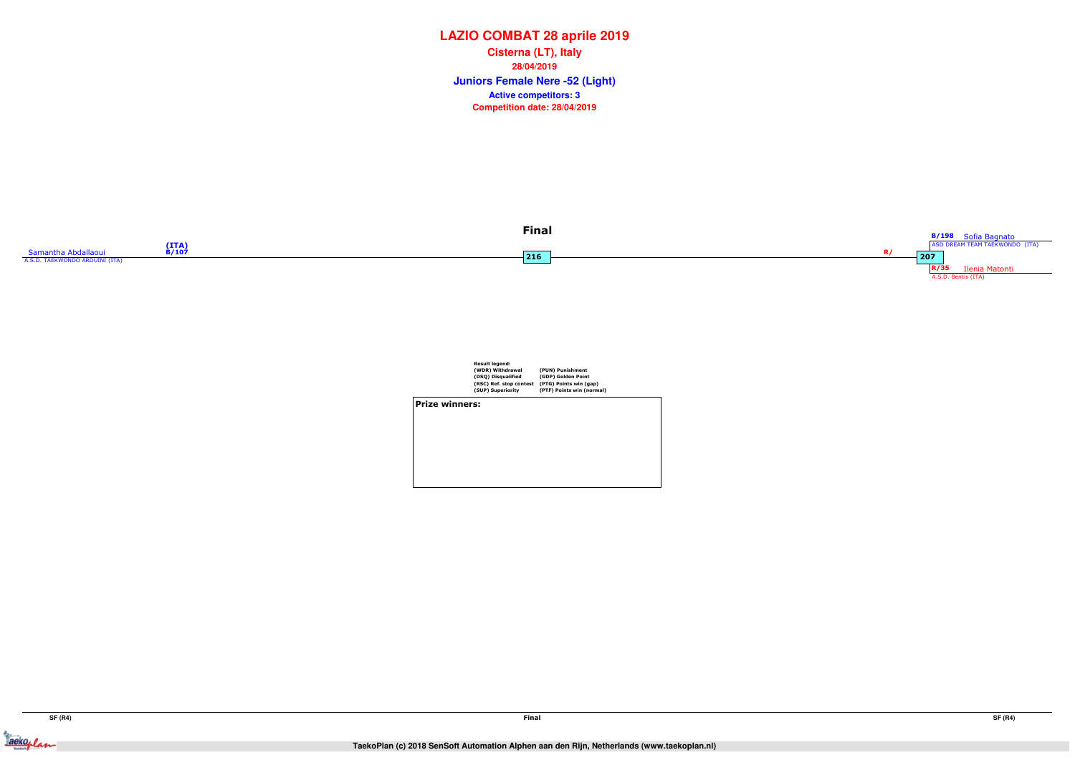Jackeplan





|                | <b>Result legend:</b>   |                           |  |
|----------------|-------------------------|---------------------------|--|
|                | (WDR) Withdrawal        | (PUN) Punishment          |  |
|                | (DSQ) Disqualified      | (GDP) Golden Point        |  |
|                | (RSC) Ref. stop contest | (PTG) Points win (gap)    |  |
|                | (SUP) Superiority       | (PTF) Points win (normal) |  |
| Prize winners: |                         |                           |  |
|                |                         |                           |  |
|                |                         |                           |  |
|                |                         |                           |  |
|                |                         |                           |  |
|                |                         |                           |  |
|                |                         |                           |  |
|                |                         |                           |  |
|                |                         |                           |  |
|                |                         |                           |  |

## **LAZIO COMBAT 28 aprile 2019**

**Juniors Female Nere -52 (Light) Cisterna (LT), Italy28/04/2019Competition date: 28/04/2019 Active competitors: 3**

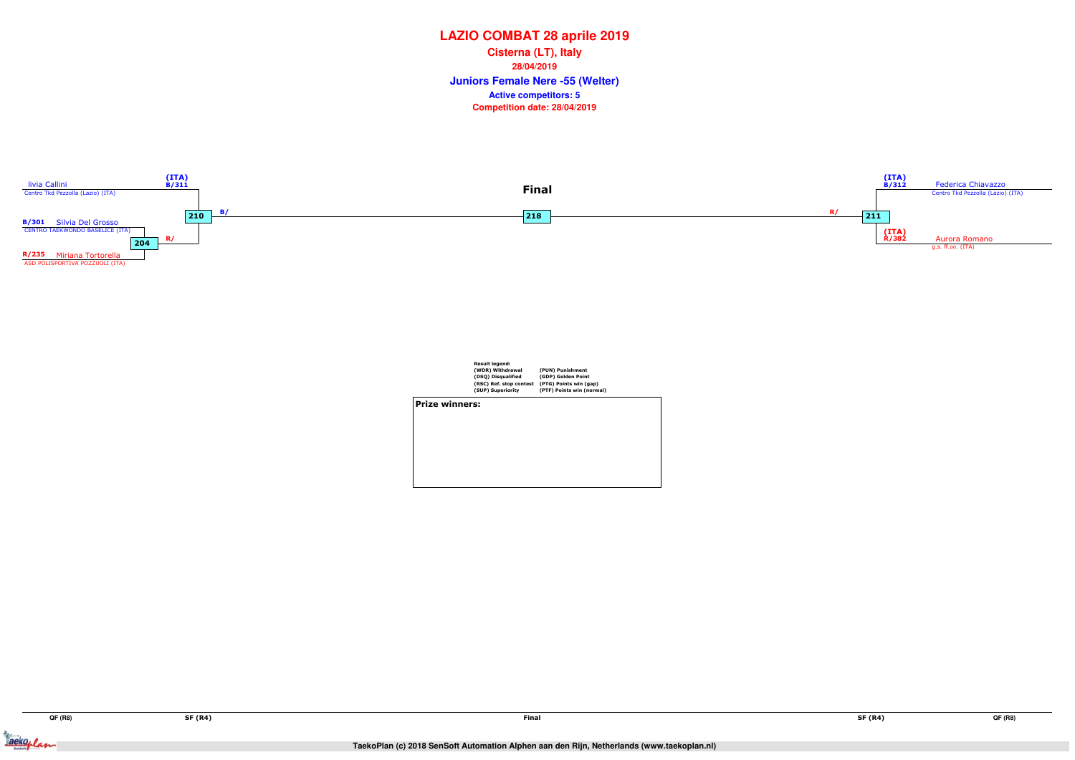Jackeplan



|                       | <b>Result legend:</b><br>(WDR) Withdrawal<br>(DSQ) Disqualified<br>(RSC) Ref. stop contest<br>(SUP) Superiority | (PUN) Punishment<br>(GDP) Golden Point<br>(PTG) Points win (gap)<br>(PTF) Points win (normal) |
|-----------------------|-----------------------------------------------------------------------------------------------------------------|-----------------------------------------------------------------------------------------------|
| <b>Prize winners:</b> |                                                                                                                 |                                                                                               |
|                       |                                                                                                                 |                                                                                               |

## **LAZIO COMBAT 28 aprile 2019**

**Juniors Female Nere -55 (Welter) Cisterna (LT), Italy28/04/2019Competition date: 28/04/2019 Active competitors: 5**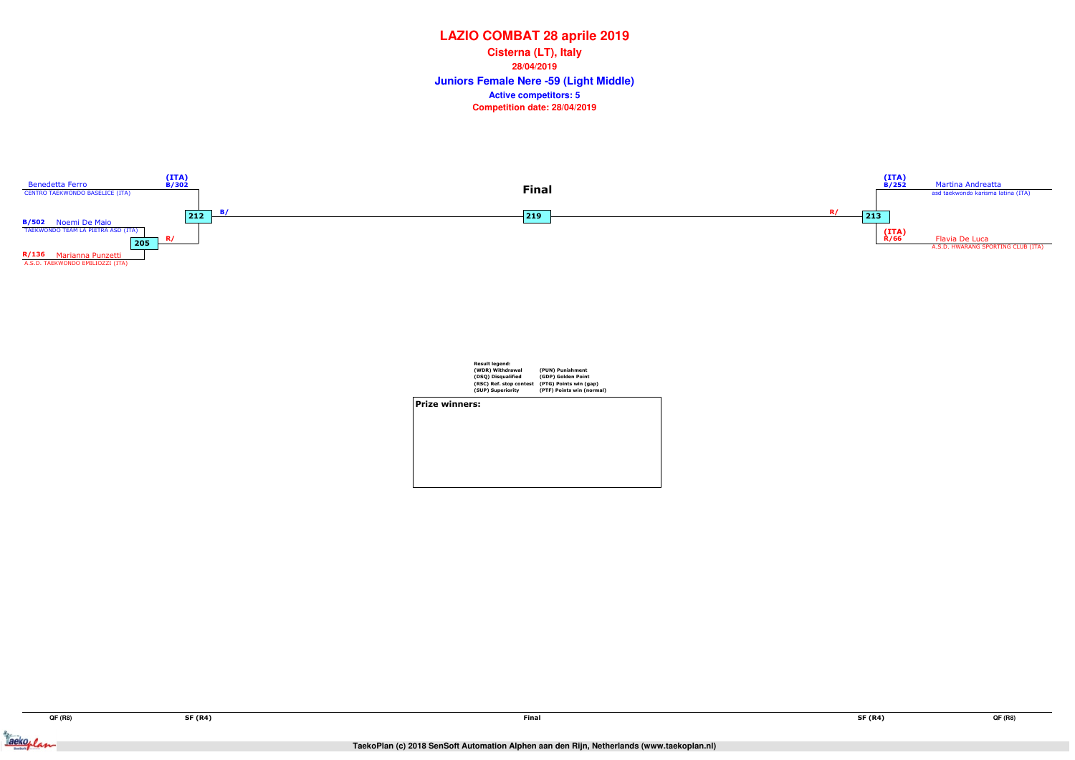Jackeylan



|                       | <b>Result legend:</b><br>(WDR) Withdrawal<br>(DSQ) Disqualified<br>(RSC) Ref. stop contest<br>(SUP) Superiority | (PUN) Punishment<br>(GDP) Golden Point<br>(PTG) Points win (gap)<br>(PTF) Points win (normal) |
|-----------------------|-----------------------------------------------------------------------------------------------------------------|-----------------------------------------------------------------------------------------------|
| <b>Prize winners:</b> |                                                                                                                 |                                                                                               |
|                       |                                                                                                                 |                                                                                               |
|                       |                                                                                                                 |                                                                                               |
|                       |                                                                                                                 |                                                                                               |
|                       |                                                                                                                 |                                                                                               |
|                       |                                                                                                                 |                                                                                               |

## **LAZIO COMBAT 28 aprile 2019**

**Juniors Female Nere -59 (Light Middle) Cisterna (LT), Italy28/04/2019Competition date: 28/04/2019 Active competitors: 5**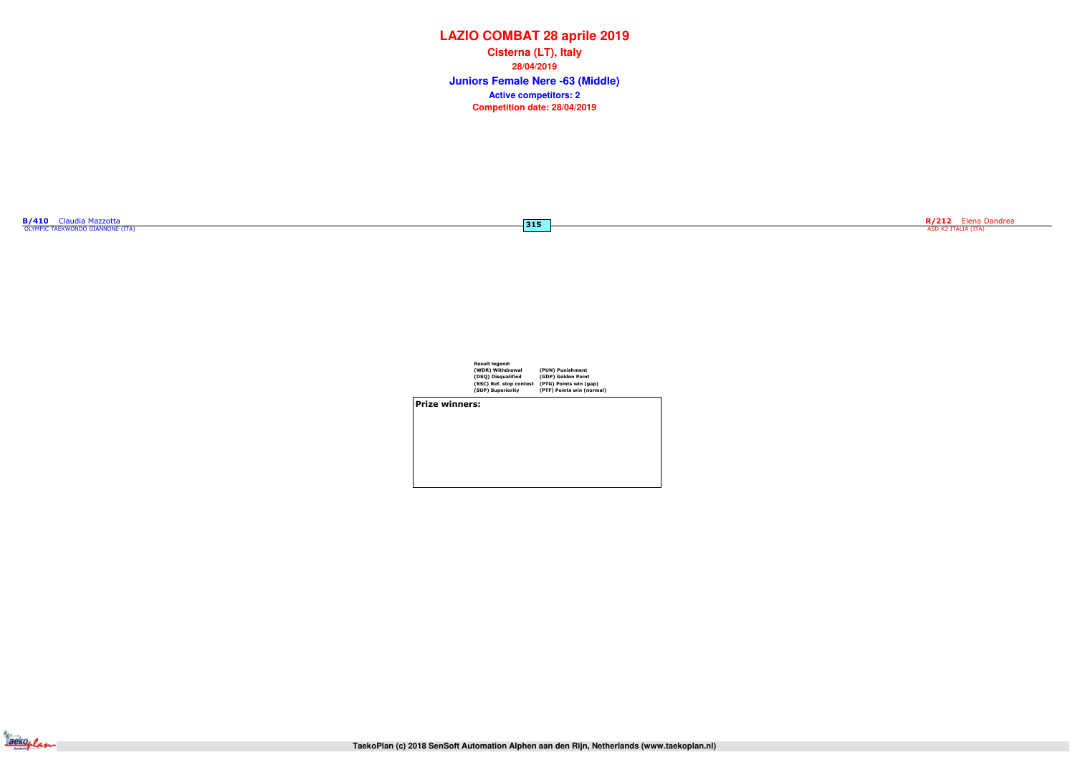| B/410 | Claudia Mazzotta                 |  |
|-------|----------------------------------|--|
|       | OLYMPIC TAEKWONDO GIANNONE (ITA) |  |

 $-315$ 

| <b>Result legend:</b>   |                           |
|-------------------------|---------------------------|
| (WDR) Withdrawal        | (PUN) Punishment          |
| (DSQ) Disqualified      | (GDP) Golden Point        |
| (RSC) Ref. stop contest | (PTG) Points win (gap)    |
| (SUP) Superiority       | (PTF) Points win (normal) |
|                         |                           |

Prize winners:



# **LAZIO COMBAT 28 aprile 2019**

**Juniors Female Nere -63 (Middle) Cisterna (LT), Italy28/04/2019Competition date: 28/04/2019 Active competitors: 2**

R/212 Elena Dandrea